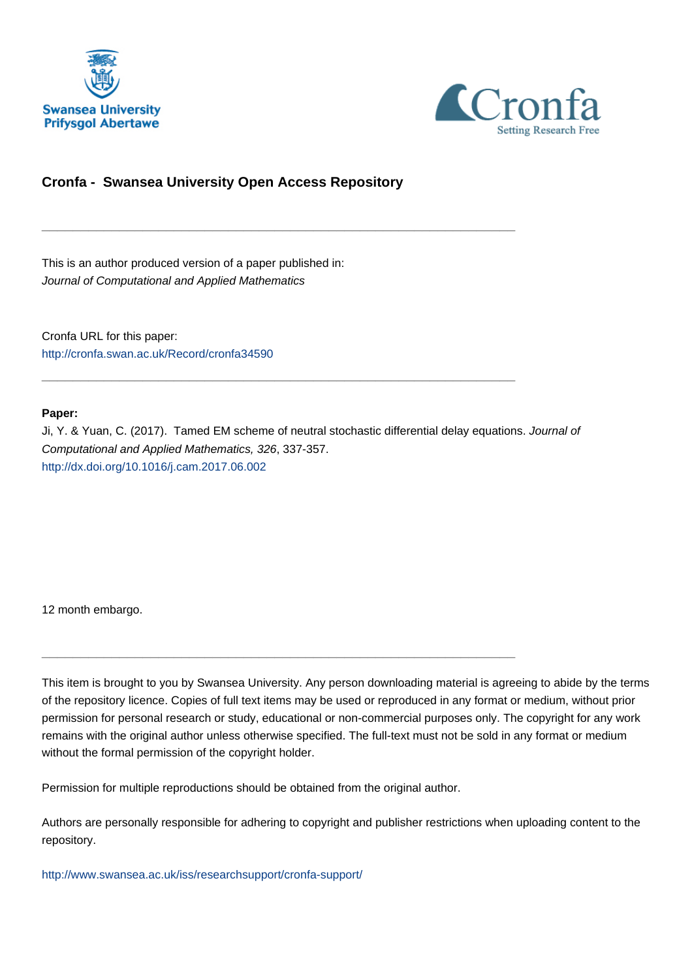



## **Cronfa - Swansea University Open Access Repository**

\_\_\_\_\_\_\_\_\_\_\_\_\_\_\_\_\_\_\_\_\_\_\_\_\_\_\_\_\_\_\_\_\_\_\_\_\_\_\_\_\_\_\_\_\_\_\_\_\_\_\_\_\_\_\_\_\_\_\_\_\_

\_\_\_\_\_\_\_\_\_\_\_\_\_\_\_\_\_\_\_\_\_\_\_\_\_\_\_\_\_\_\_\_\_\_\_\_\_\_\_\_\_\_\_\_\_\_\_\_\_\_\_\_\_\_\_\_\_\_\_\_\_

This is an author produced version of a paper published in: Journal of Computational and Applied Mathematics

Cronfa URL for this paper: <http://cronfa.swan.ac.uk/Record/cronfa34590>

### **Paper:**

Ji, Y. & Yuan, C. (2017). Tamed EM scheme of neutral stochastic differential delay equations. Journal of Computational and Applied Mathematics, 326, 337-357. <http://dx.doi.org/10.1016/j.cam.2017.06.002>

12 month embargo.

This item is brought to you by Swansea University. Any person downloading material is agreeing to abide by the terms of the repository licence. Copies of full text items may be used or reproduced in any format or medium, without prior permission for personal research or study, educational or non-commercial purposes only. The copyright for any work remains with the original author unless otherwise specified. The full-text must not be sold in any format or medium without the formal permission of the copyright holder.

Permission for multiple reproductions should be obtained from the original author.

\_\_\_\_\_\_\_\_\_\_\_\_\_\_\_\_\_\_\_\_\_\_\_\_\_\_\_\_\_\_\_\_\_\_\_\_\_\_\_\_\_\_\_\_\_\_\_\_\_\_\_\_\_\_\_\_\_\_\_\_\_

Authors are personally responsible for adhering to copyright and publisher restrictions when uploading content to the repository.

[http://www.swansea.ac.uk/iss/researchsupport/cronfa-support/](http://www.swansea.ac.uk/iss/researchsupport/cronfa-support/ )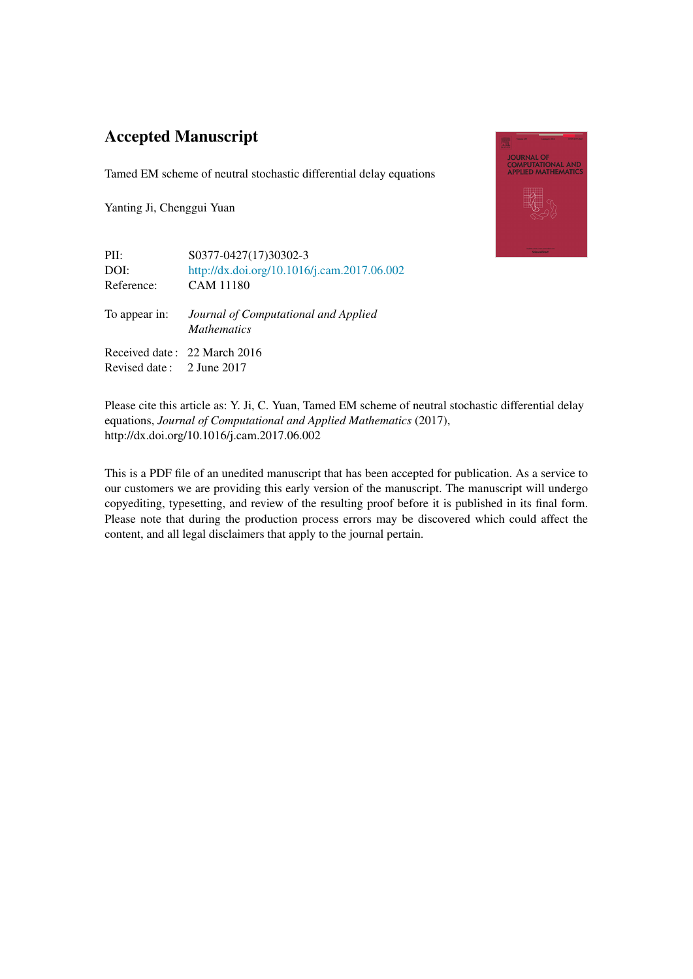# Accepted Manuscript

Tamed EM scheme of neutral stochastic differential delay equations

Yanting Ji, Chenggui Yuan

| PII:                      | S0377-0427(17)30302-3                                      |
|---------------------------|------------------------------------------------------------|
| DOI:                      | http://dx.doi.org/10.1016/j.cam.2017.06.002                |
| Reference:                | <b>CAM 11180</b>                                           |
| To appear in:             | Journal of Computational and Applied<br><i>Mathematics</i> |
|                           | Received date: 22 March 2016                               |
| Revised date: 2 June 2017 |                                                            |



Please cite this article as: Y. Ji, C. Yuan, Tamed EM scheme of neutral stochastic differential delay equations, *Journal of Computational and Applied Mathematics* (2017), http://dx.doi.org/10.1016/j.cam.2017.06.002

This is a PDF file of an unedited manuscript that has been accepted for publication. As a service to our customers we are providing this early version of the manuscript. The manuscript will undergo copyediting, typesetting, and review of the resulting proof before it is published in its final form. Please note that during the production process errors may be discovered which could affect the content, and all legal disclaimers that apply to the journal pertain.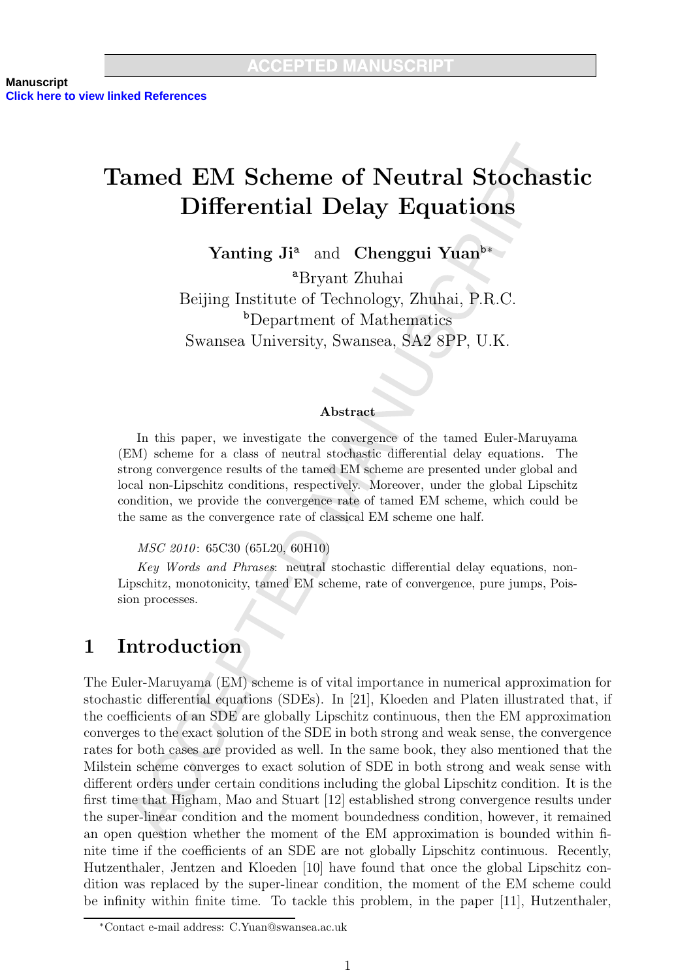# **Tamed EM Scheme of Neutral Stochastic Differential Delay Equations**

Yanting Ji<sup>a</sup> and Chenggui Yuan<sup>b\*</sup>

<sup>a</sup>Bryant Zhuhai Beijing Institute of Technology, Zhuhai, P.R.C. <sup>b</sup>Department of Mathematics Swansea University, Swansea, SA2 8PP, U.K.

### Abstract

In this paper, we investigate the convergence of the tamed Euler-Maruyama (EM) scheme for a class of neutral stochastic differential delay equations. The strong convergence results of the tamed EM scheme are presented under global and local non-Lipschitz conditions, respectively. Moreover, under the global Lipschitz condition, we provide the convergence rate of tamed EM scheme, which could be the same as the convergence rate of classical EM scheme one half.

*MSC 2010*: 65C30 (65L20, 60H10)

Key Words and Phrases: neutral stochastic differential delay equations, non-Lipschitz, monotonicity, tamed EM scheme, rate of convergence, pure jumps, Poission processes.

#### Introduction  $\mathbf 1$

The Euler-Maruyama (EM) scheme is of vital importance in numerical approximation for stochastic differential equations (SDEs). In [21], Kloeden and Platen illustrated that, if the coefficients of an SDE are globally Lipschitz continuous, then the EM approximation converges to the exact solution of the SDE in both strong and weak sense, the convergence rates for both cases are provided as well. In the same book, they also mentioned that the Milstein scheme converges to exact solution of SDE in both strong and weak sense with different orders under certain conditions including the global Lipschitz condition. It is the first time that Higham, Mao and Stuart [12] established strong convergence results under the super-linear condition and the moment boundedness condition, however, it remained an open question whether the moment of the EM approximation is bounded within finite time if the coefficients of an SDE are not globally Lipschitz continuous. Recently, Hutzenthaler, Jentzen and Kloeden [10] have found that once the global Lipschitz condition was replaced by the super-linear condition, the moment of the EM scheme could be infinity within finite time. To tackle this problem, in the paper  $[11]$ , Hutzenthaler,

<sup>\*</sup>Contact e-mail address: C.Yuan@swansea.ac.uk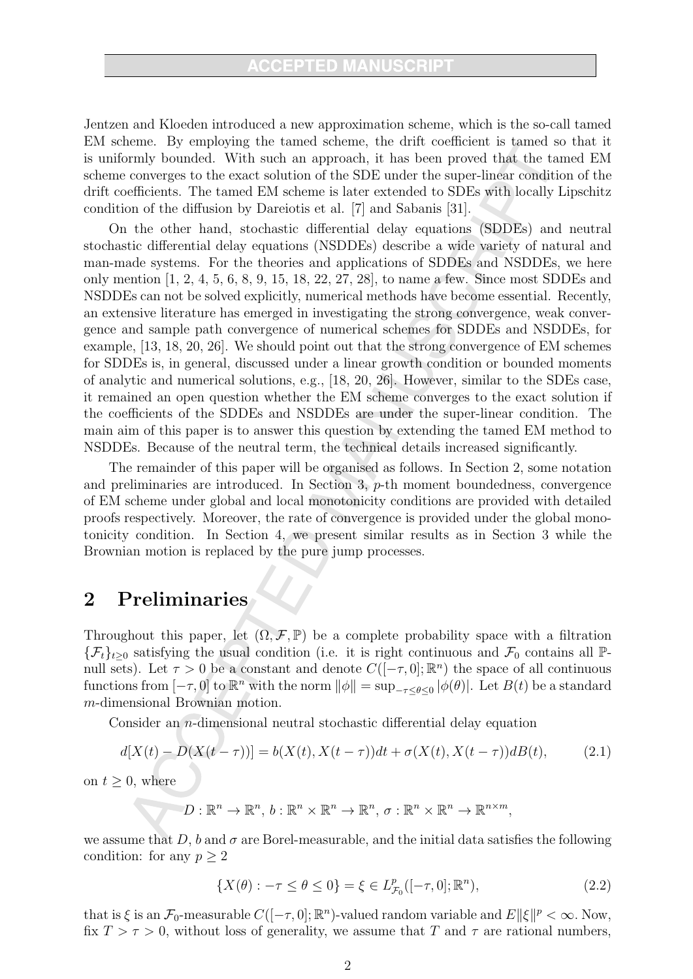Jentzen and Kloeden introduced a new approximation scheme, which is the so-call tamed EM scheme. By employing the tamed scheme, the drift coefficient is tamed so that it is uniformly bounded. With such an approach, it has been proved that the tamed EM scheme converges to the exact solution of the SDE under the super-linear condition of the drift coefficients. The tamed EM scheme is later extended to SDEs with locally Lipschitz condition of the diffusion by Dareiotis et al. [7] and Sabanis [31].

On the other hand, stochastic differential delay equations (SDDEs) and neutral stochastic differential delay equations (NSDDEs) describe a wide variety of natural and man-made systems. For the theories and applications of SDDEs and NSDDEs, we here only mention  $[1, 2, 4, 5, 6, 8, 9, 15, 18, 22, 27, 28]$ , to name a few. Since most SDDEs and NSDDEs can not be solved explicitly, numerical methods have become essential. Recently, an extensive literature has emerged in investigating the strong convergence, weak convergence and sample path convergence of numerical schemes for SDDEs and NSDDEs, for example,  $[13, 18, 20, 26]$ . We should point out that the strong convergence of EM schemes for SDDEs is, in general, discussed under a linear growth condition or bounded moments of analytic and numerical solutions, e.g., [18, 20, 26]. However, similar to the SDEs case, it remained an open question whether the EM scheme converges to the exact solution if the coefficients of the SDDEs and NSDDEs are under the super-linear condition. The main aim of this paper is to answer this question by extending the tamed EM method to NSDDEs. Because of the neutral term, the technical details increased significantly.

The remainder of this paper will be organised as follows. In Section 2, some notation and preliminaries are introduced. In Section 3,  $p$ -th moment boundedness, convergence of EM scheme under global and local monotonicity conditions are provided with detailed proofs respectively. Moreover, the rate of convergence is provided under the global monotonicity condition. In Section 4, we present similar results as in Section 3 while the Brownian motion is replaced by the pure jump processes.

#### Preliminaries  $\overline{2}$

Throughout this paper, let  $(\Omega, \mathcal{F}, \mathbb{P})$  be a complete probability space with a filtration  $\{\mathcal{F}_t\}_{t\geq 0}$  satisfying the usual condition (i.e. it is right continuous and  $\mathcal{F}_0$  contains all  $\mathbb{P}$ null sets). Let  $\tau > 0$  be a constant and denote  $C([-\tau,0];\mathbb{R}^n)$  the space of all continuous functions from  $[-\tau,0]$  to  $\mathbb{R}^n$  with the norm  $\|\phi\| = \sup_{-\tau \leq \theta \leq 0} |\phi(\theta)|$ . Let  $B(t)$  be a standard  $m$ -dimensional Brownian motion.

Consider an  $n$ -dimensional neutral stochastic differential delay equation

$$
d[X(t) - D(X(t - \tau))] = b(X(t), X(t - \tau))dt + \sigma(X(t), X(t - \tau))dB(t),
$$
\n(2.1)

on  $t \geq 0$ , where

$$
\mathcal{D}: \mathbb{R}^n \to \mathbb{R}^n, b: \mathbb{R}^n \times \mathbb{R}^n \to \mathbb{R}^n, \sigma: \mathbb{R}^n \times \mathbb{R}^n \to \mathbb{R}^{n \times m},
$$

we assume that D, b and  $\sigma$  are Borel-measurable, and the initial data satisfies the following condition: for any  $p \geq 2$ 

$$
\{X(\theta) : -\tau \le \theta \le 0\} = \xi \in L_{\mathcal{F}_0}^p([-\tau, 0]; \mathbb{R}^n),\tag{2.2}
$$

that is  $\xi$  is an  $\mathcal{F}_0$ -measurable  $C([-\tau,0];\mathbb{R}^n)$ -valued random variable and  $E||\xi||^p < \infty$ . Now, fix  $T > \tau > 0$ , without loss of generality, we assume that T and  $\tau$  are rational numbers,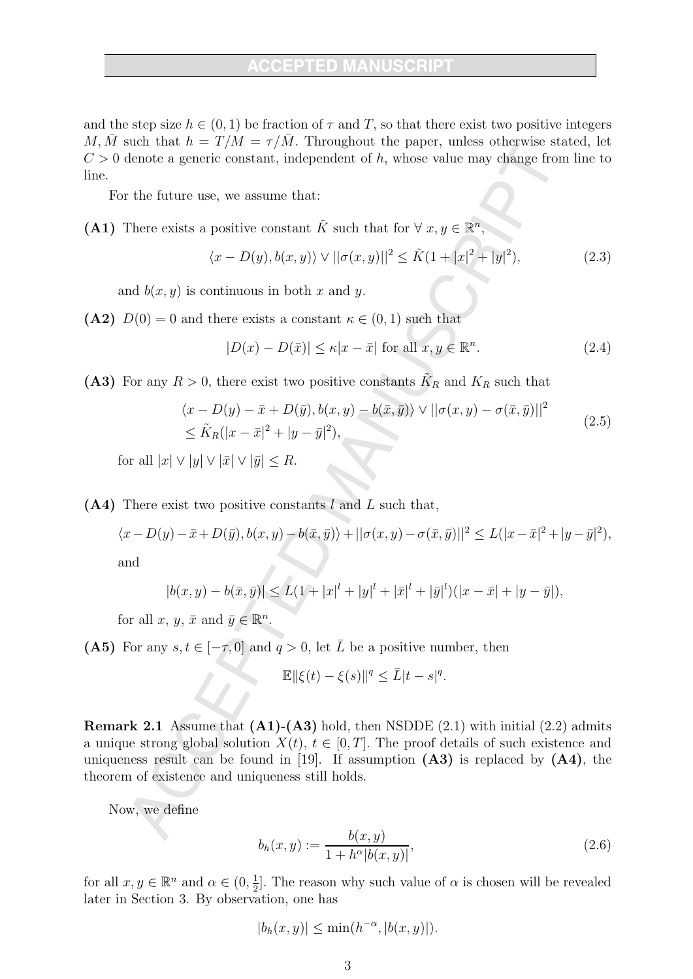and the step size  $h \in (0,1)$  be fraction of  $\tau$  and T, so that there exist two positive integers M, M such that  $h = T/M = \tau/M$ . Throughout the paper, unless otherwise stated, let  $C > 0$  denote a generic constant, independent of h, whose value may change from line to line.

For the future use, we assume that:

(A1) There exists a positive constant  $\tilde{K}$  such that for  $\forall x, y \in \mathbb{R}^n$ 

$$
\langle x - D(y), b(x, y) \rangle \vee ||\sigma(x, y)||^2 \le \tilde{K} (1 + |x|^2 + |y|^2), \tag{2.3}
$$

and  $b(x, y)$  is continuous in both x and y.

(A2)  $D(0) = 0$  and there exists a constant  $\kappa \in (0,1)$  such that

$$
|D(x) - D(\bar{x})| \le \kappa |x - \bar{x}| \text{ for all } x, y \in \mathbb{R}^n. \tag{2.4}
$$

(A3) For any  $R > 0$ , there exist two positive constants  $\tilde{K}_R$  and  $K_R$  such that

$$
\langle x - D(y) - \bar{x} + D(\bar{y}), b(x, y) - b(\bar{x}, \bar{y}) \rangle \vee ||\sigma(x, y) - \sigma(\bar{x}, \bar{y})||^2
$$
  
\n
$$
\leq \tilde{K}_R(|x - \bar{x}|^2 + |y - \bar{y}|^2),
$$
\n(2.5)

for all  $|x| \vee |y| \vee |\bar{x}| \vee |\bar{y}| \le R$ .

 $(A4)$  There exist two positive constants l and L such that,

$$
\langle x - D(y) - \bar{x} + D(\bar{y}), b(x, y) - b(\bar{x}, \bar{y}) \rangle + ||\sigma(x, y) - \sigma(\bar{x}, \bar{y})||^2 \le L(|x - \bar{x}|^2 + |y - \bar{y}|^2),
$$

and

$$
|b(x,y) - b(\bar{x}, \bar{y})| \le L(1 + |x|^l + |y|^l + |\bar{x}|^l + |\bar{y}|^l)(|x - \bar{x}| + |y - \bar{y}|),
$$

for all  $x, y, \bar{x}$  and  $\bar{y} \in \mathbb{R}^n$ .

(A5) For any  $s, t \in [-\tau, 0]$  and  $q > 0$ , let  $\overline{L}$  be a positive number, then

$$
\mathbb{E} \|\xi(t) - \xi(s)\|^q \le L|t - s|^q.
$$

**Remark 2.1** Assume that  $(A1)$ - $(A3)$  hold, then NSDDE  $(2.1)$  with initial  $(2.2)$  admits a unique strong global solution  $X(t)$ ,  $t \in [0, T]$ . The proof details of such existence and uniqueness result can be found in [19]. If assumption  $(A3)$  is replaced by  $(A4)$ , the theorem of existence and uniqueness still holds.

Now, we define

$$
b_h(x,y) := \frac{b(x,y)}{1 + h^{\alpha}|b(x,y)|},
$$
\n(2.6)

for all  $x, y \in \mathbb{R}^n$  and  $\alpha \in (0, \frac{1}{2}]$ . The reason why such value of  $\alpha$  is chosen will be revealed later in Section 3. By observation, one has

$$
|b_h(x,y)| \le \min(h^{-\alpha}, |b(x,y)|).
$$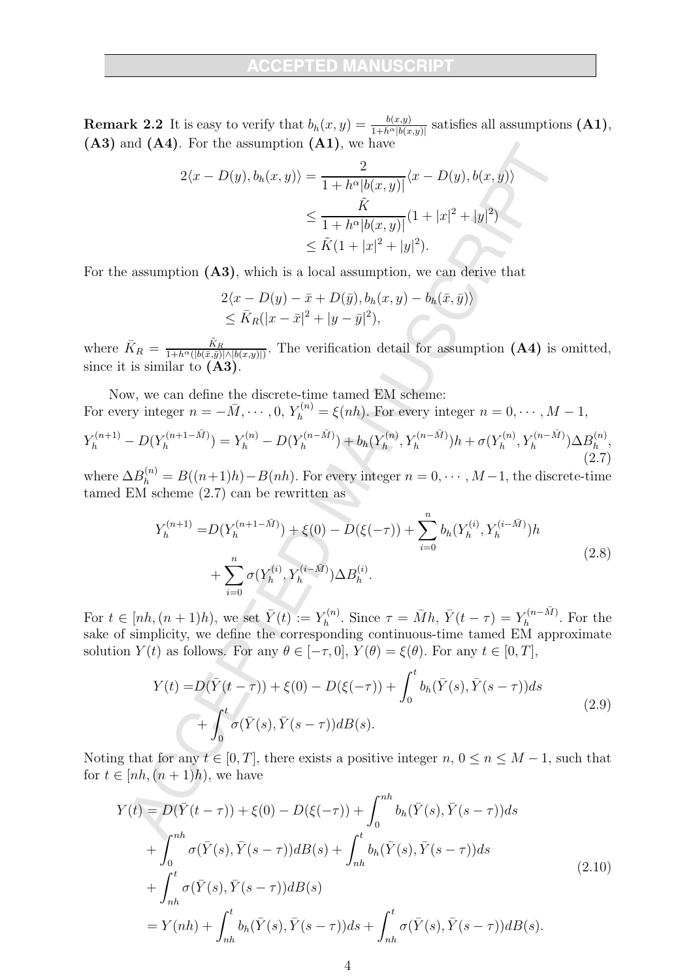**Remark 2.2** It is easy to verify that  $b_h(x, y) = \frac{b(x, y)}{1 + h^{\alpha} |b(x, y)|}$  satisfies all assumptions (A1),  $(A3)$  and  $(A4)$ . For the assumption  $(A1)$ , we have

$$
2\langle x - D(y), b_h(x, y) \rangle = \frac{2}{1 + h^{\alpha}|b(x, y)|} \langle x - D(y), b(x, y) \rangle
$$
  

$$
\leq \frac{\tilde{K}}{1 + h^{\alpha}|b(x, y)|} (1 + |x|^2 + |y|^2)
$$
  

$$
\leq \tilde{K}(1 + |x|^2 + |y|^2).
$$

For the assumption  $(A3)$ , which is a local assumption, we can derive that

$$
2\langle x - D(y) - \bar{x} + D(\bar{y}), b_h(x, y) - b_h(\bar{x}, \bar{y})\rangle
$$
  
\$\leq \bar{K}\_R(|x - \bar{x}|^2 + |y - \bar{y}|^2),\$

where  $\bar{K}_R = \frac{\tilde{K}_R}{1 + h^{\alpha}(|b(\bar{x}, \bar{y})| \wedge |b(x, y)|)}$ . The verification detail for assumption (A4) is omitted, since it is similar to  $(A3)$ .

Now, we can define the discrete-time tamed EM scheme: For every integer  $n = -\overline{M}, \dots, 0, Y_h^{(n)} = \xi(nh)$ . For every integer  $n = 0, \dots, M - 1$ ,

$$
Y_h^{(n+1)} - D(Y_h^{(n+1-\bar{M})}) = Y_h^{(n)} - D(Y_h^{(n-\bar{M})}) + b_h(Y_h^{(n)}, Y_h^{(n-\bar{M})})h + \sigma(Y_h^{(n)}, Y_h^{(n-\bar{M})})\Delta B_h^{(n)},
$$
\n(2.7)

where  $\Delta B_h^{(n)} = B((n+1)h) - B(nh)$ . For every integer  $n = 0, \dots, M-1$ , the discrete-time tamed EM scheme  $(2.7)$  can be rewritten as

$$
Y_h^{(n+1)} = D(Y_h^{(n+1-\bar{M})}) + \xi(0) - D(\xi(-\tau)) + \sum_{i=0}^n b_h(Y_h^{(i)}, Y_h^{(i-\bar{M})})h + \sum_{i=0}^n \sigma(Y_h^{(i)}, Y_h^{(i-\bar{M})})\Delta B_h^{(i)}.
$$
\n(2.8)

For  $t \in [nh, (n+1)h)$ , we set  $\overline{Y}(t) := Y_h^{(n)}$ . Since  $\tau = \overline{M}h$ ,  $\overline{Y}(t - \tau) = Y_h^{(n-\overline{M})}$ . For the sake of simplicity, we define the corresponding continuous-time tamed EM approximate solution  $Y(t)$  as follows. For any  $\theta \in [-\tau, 0], Y(\theta) = \xi(\theta)$ . For any  $t \in [0, T],$ 

$$
Y(t) = D(\bar{Y}(t-\tau)) + \xi(0) - D(\xi(-\tau)) + \int_0^t b_h(\bar{Y}(s), \bar{Y}(s-\tau))ds + \int_0^t \sigma(\bar{Y}(s), \bar{Y}(s-\tau))dB(s).
$$
 (2.9)

Noting that for any  $t \in [0, T]$ , there exists a positive integer  $n, 0 \le n \le M - 1$ , such that for  $t \in [nh, (n+1)h)$ , we have

$$
Y(t) = D(\bar{Y}(t-\tau)) + \xi(0) - D(\xi(-\tau)) + \int_0^{nh} b_h(\bar{Y}(s), \bar{Y}(s-\tau))ds + \int_0^{nh} \sigma(\bar{Y}(s), \bar{Y}(s-\tau))dB(s) + \int_{nh}^t b_h(\bar{Y}(s), \bar{Y}(s-\tau))ds + \int_{nh}^t \sigma(\bar{Y}(s), \bar{Y}(s-\tau))dB(s) = Y(nh) + \int_{nh}^t b_h(\bar{Y}(s), \bar{Y}(s-\tau))ds + \int_{nh}^t \sigma(\bar{Y}(s), \bar{Y}(s-\tau))dB(s).
$$
 (2.10)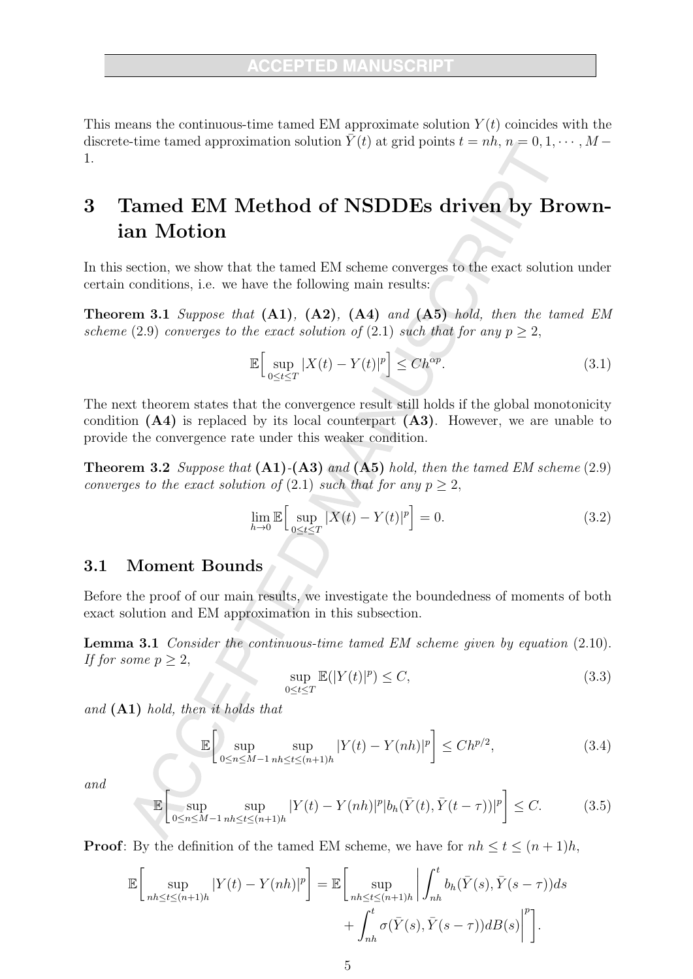This means the continuous-time tamed EM approximate solution  $Y(t)$  coincides with the discrete-time tamed approximation solution  $\overline{Y}(t)$  at grid points  $t = nh$ ,  $n = 0, 1, \dots, M -$ 1.

### Tamed EM Method of NSDDEs driven by Brown-3 ian Motion

In this section, we show that the tamed EM scheme converges to the exact solution under certain conditions, i.e. we have the following main results:

**Theorem 3.1** Suppose that  $(A1)$ ,  $(A2)$ ,  $(A4)$  and  $(A5)$  hold, then the tamed EM scheme (2.9) converges to the exact solution of (2.1) such that for any  $p > 2$ ,

$$
\mathbb{E}\Big[\sup_{0\leq t\leq T}|X(t)-Y(t)|^p\Big]\leq Ch^{\alpha p}.\tag{3.1}
$$

The next theorem states that the convergence result still holds if the global monotonicity condition  $(A4)$  is replaced by its local counterpart  $(A3)$ . However, we are unable to provide the convergence rate under this weaker condition.

**Theorem 3.2** Suppose that  $(A1)$ - $(A3)$  and  $(A5)$  hold, then the tamed EM scheme (2.9) converges to the exact solution of  $(2.1)$  such that for any  $p > 2$ ,

$$
\lim_{h \to 0} \mathbb{E} \Big[ \sup_{0 \le t \le T} |X(t) - Y(t)|^p \Big] = 0. \tag{3.2}
$$

#### **Moment Bounds**  $3.1$

Before the proof of our main results, we investigate the boundedness of moments of both exact solution and EM approximation in this subsection.

**Lemma 3.1** Consider the continuous-time tamed EM scheme given by equation  $(2.10)$ . If for some  $p > 2$ ,

$$
\sup_{0 \le t \le T} \mathbb{E}(|Y(t)|^p) \le C,\tag{3.3}
$$

and  $(A1)$  hold, then it holds that

$$
\mathbb{E}\left[\sup_{0\leq n\leq M-1}\sup_{nh\leq t\leq (n+1)h}|Y(t)-Y(nh)|^p\right]\leq Ch^{p/2},\tag{3.4}
$$

and

$$
\mathbb{E}\left[\sup_{0\leq n\leq M-1}\sup_{nh\leq t\leq (n+1)h}|Y(t)-Y(nh)|^p|b_h(\bar{Y}(t),\bar{Y}(t-\tau))|^p\right]\leq C.\tag{3.5}
$$

**Proof:** By the definition of the tamed EM scheme, we have for  $nh \le t \le (n+1)h$ ,

$$
\mathbb{E}\bigg[\sup_{nh\leq t\leq (n+1)h}|Y(t)-Y(nh)|^p\bigg]=\mathbb{E}\bigg[\sup_{nh\leq t\leq (n+1)h}\bigg|\int_{nh}^t b_h(\bar{Y}(s),\bar{Y}(s-\tau))ds + \int_{nh}^t \sigma(\bar{Y}(s),\bar{Y}(s-\tau))dB(s)\bigg|^p\bigg].
$$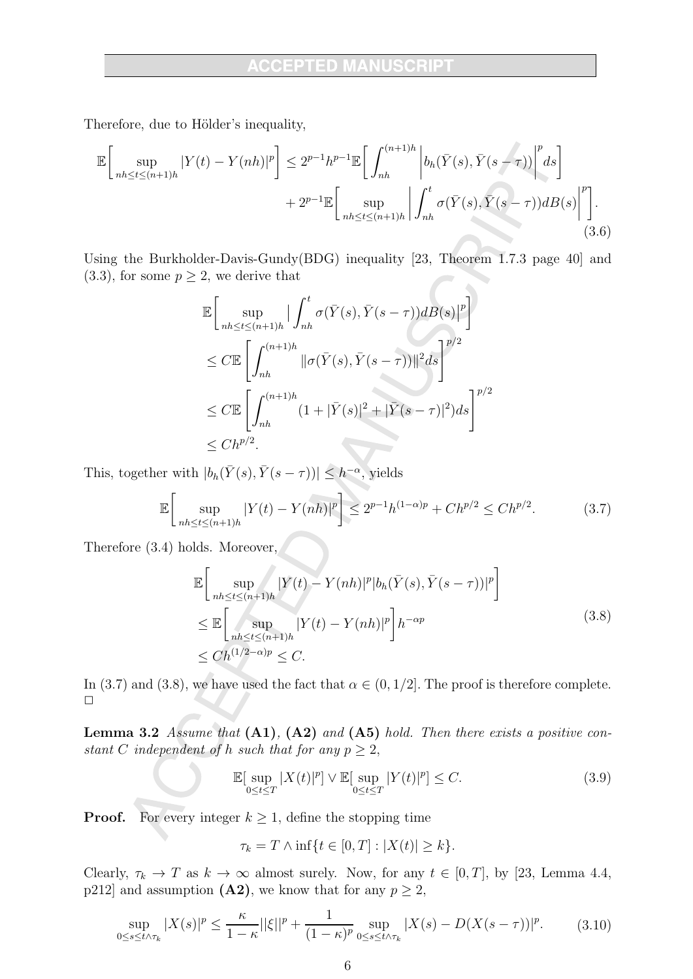Therefore, due to Hölder's inequality,

$$
\mathbb{E}\bigg[\sup_{nh\leq t\leq (n+1)h}|Y(t)-Y(nh)|^p\bigg]\leq 2^{p-1}h^{p-1}\mathbb{E}\bigg[\int_{nh}^{(n+1)h}\bigg|b_h(\bar{Y}(s),\bar{Y}(s-\tau))\bigg|^p ds\bigg] +2^{p-1}\mathbb{E}\bigg[\sup_{nh\leq t\leq (n+1)h}\bigg|\int_{nh}^t\sigma(\bar{Y}(s),\bar{Y}(s-\tau))dB(s)\bigg|^p\bigg].\tag{3.6}
$$

Using the Burkholder-Davis-Gundy(BDG) inequality [23, Theorem 1.7.3 page 40] and  $(3.3)$ , for some  $p \geq 2$ , we derive that  $\leftarrow$ 

$$
\mathbb{E}\Big[\sup_{nh\leq t\leq (n+1)h}|\int_{nh}^{t}\sigma(\bar{Y}(s),\bar{Y}(s-\tau))dB(s)|^{p}\Big]
$$
  
\n
$$
\leq C\mathbb{E}\Big[\int_{nh}^{(n+1)h}\|\sigma(\bar{Y}(s),\bar{Y}(s-\tau))\|^{2}ds\Big]^{p/2}
$$
  
\n
$$
\leq C\mathbb{E}\Big[\int_{nh}^{(n+1)h}(1+|\bar{Y}(s)|^{2}+|\bar{Y}(s-\tau)|^{2})ds\Big]^{p/2}
$$
  
\n
$$
\leq Ch^{p/2}.
$$

This, together with  $|b_h(\bar{Y}(s), \bar{Y}(s-\tau))| \leq h^{-\alpha}$ , yields

$$
\mathbb{E}\left[\sup_{nh\leq t\leq (n+1)h} |Y(t) - Y(nh)|^p\right] \leq 2^{p-1}h^{(1-\alpha)p} + Ch^{p/2} \leq Ch^{p/2}.\tag{3.7}
$$

Therefore  $(3.4)$  holds. Moreover,

$$
\mathbb{E}\Big[\sup_{nh\leq t\leq (n+1)h} |Y(t) - Y(nh)|^p |b_h(\bar{Y}(s), \bar{Y}(s-\tau))|^p\Big]
$$
\n
$$
\leq \mathbb{E}\Big[\sup_{nh\leq t\leq (n+1)h} |Y(t) - Y(nh)|^p\Big]h^{-\alpha p}
$$
\n
$$
\leq Ch^{(1/2-\alpha)p} \leq C.
$$
\n(3.8)

In (3.7) and (3.8), we have used the fact that  $\alpha \in (0,1/2]$ . The proof is therefore complete.  $\Box$ 

**Lemma 3.2** Assume that  $(A1)$ ,  $(A2)$  and  $(A5)$  hold. Then there exists a positive constant C independent of h such that for any  $p \geq 2$ ,

$$
\mathbb{E}[\sup_{0\leq t\leq T}|X(t)|^p] \vee \mathbb{E}[\sup_{0\leq t\leq T}|Y(t)|^p] \leq C. \tag{3.9}
$$

For every integer  $k \geq 1$ , define the stopping time Proof.

$$
\tau_k = T \wedge \inf\{t \in [0, T] : |X(t)| \ge k\}.
$$

Clearly,  $\tau_k \to T$  as  $k \to \infty$  almost surely. Now, for any  $t \in [0, T]$ , by [23, Lemma 4.4, p212] and assumption (A2), we know that for any  $p \ge 2$ ,

$$
\sup_{0 \le s \le t \wedge \tau_k} |X(s)|^p \le \frac{\kappa}{1-\kappa} ||\xi||^p + \frac{1}{(1-\kappa)^p} \sup_{0 \le s \le t \wedge \tau_k} |X(s) - D(X(s-\tau))|^p. \tag{3.10}
$$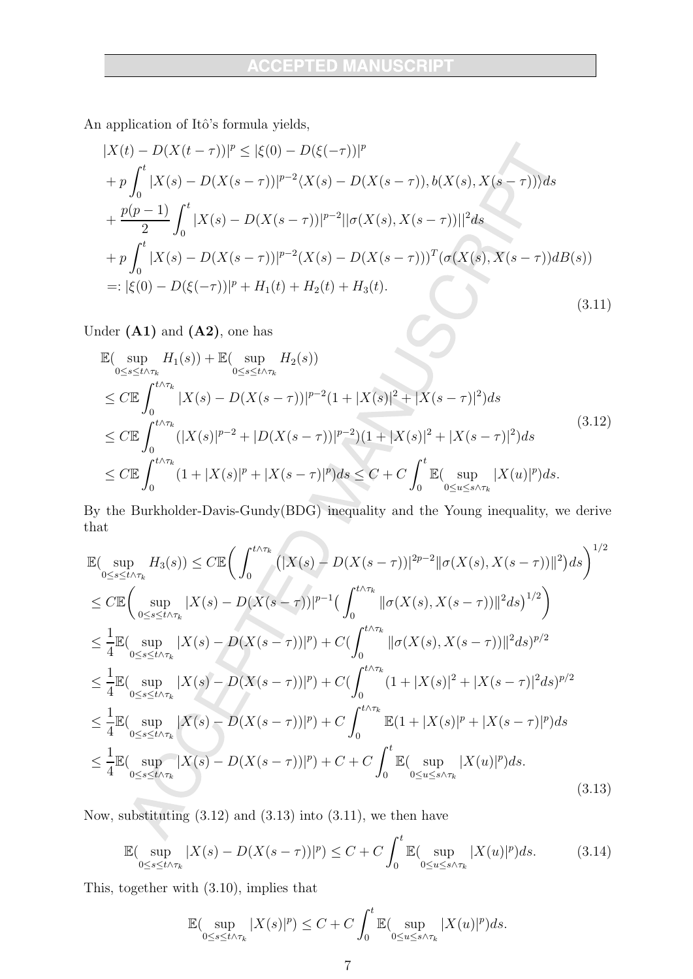An application of Itô's formula yields,

$$
|X(t) - D(X(t-\tau))|^p \le |\xi(0) - D(\xi(-\tau))|^p
$$
  
+  $p \int_0^t |X(s) - D(X(s-\tau))|^{p-2} \langle X(s) - D(X(s-\tau)), b(X(s), X(s-\tau)) \rangle ds$   
+  $\frac{p(p-1)}{2} \int_0^t |X(s) - D(X(s-\tau))|^{p-2} ||\sigma(X(s), X(s-\tau))||^2 ds$   
+  $p \int_0^t |X(s) - D(X(s-\tau))|^{p-2} (X(s) - D(X(s-\tau)))^T (\sigma(X(s), X(s-\tau)) dB(s))$   
=:  $|\xi(0) - D(\xi(-\tau))|^p + H_1(t) + H_2(t) + H_3(t).$  (3.11)

Under  $(A1)$  and  $(A2)$ , one has

$$
\mathbb{E}(\sup_{0\leq s\leq t\wedge\tau_{k}} H_{1}(s)) + \mathbb{E}(\sup_{0\leq s\leq t\wedge\tau_{k}} H_{2}(s))
$$
\n
$$
\leq C \mathbb{E} \int_{0}^{t\wedge\tau_{k}} |X(s) - D(X(s-\tau))|^{p-2} (1+|X(s)|^{2}+|X(s-\tau)|^{2}) ds
$$
\n
$$
\leq C \mathbb{E} \int_{0}^{t\wedge\tau_{k}} (|X(s)|^{p-2}+|D(X(s-\tau))|^{p-2}) (1+|X(s)|^{2}+|X(s-\tau)|^{2}) ds
$$
\n
$$
\leq C \mathbb{E} \int_{0}^{t\wedge\tau_{k}} (1+|X(s)|^{p}+|X(s-\tau)|^{p}) ds \leq C + C \int_{0}^{t} \mathbb{E}(\sup_{0\leq u\leq s\wedge\tau_{k}} |X(u)|^{p}) ds.
$$
\n(3.12)

By the Burkholder-Davis-Gundy(BDG) inequality and the Young inequality, we derive that

$$
\mathbb{E}(\sup_{0\leq s\leq t\wedge\tau_{k}}H_{3}(s))\leq C\mathbb{E}\Big(\int_{0}^{t\wedge\tau_{k}}\left(|X(s)-D(X(s-\tau))|^{2p-2}\|\sigma(X(s),X(s-\tau))\|^{2}\right)ds\Big)^{1/2} \n\leq C\mathbb{E}\Big(\sup_{0\leq s\leq t\wedge\tau_{k}}|X(s)-D(X(s-\tau))|^{p-1}\Big(\int_{0}^{t\wedge\tau_{k}}\|\sigma(X(s),X(s-\tau))\|^{2}ds\Big)^{1/2}\Big) \n\leq \frac{1}{4}\mathbb{E}(\sup_{0\leq s\leq t\wedge\tau_{k}}|X(s)-D(X(s-\tau))|^{p})+C\Big(\int_{0}^{t\wedge\tau_{k}}\|\sigma(X(s),X(s-\tau))\|^{2}ds)^{p/2} \n\leq \frac{1}{4}\mathbb{E}(\sup_{0\leq s\leq t\wedge\tau_{k}}|X(s)-D(X(s-\tau))|^{p})+C\Big(\int_{0}^{t\wedge\tau_{k}}(1+|X(s)|^{2}+|X(s-\tau)|^{2}ds)^{p/2} \n\leq \frac{1}{4}\mathbb{E}(\sup_{0\leq s\leq t\wedge\tau_{k}}|X(s)-D(X(s-\tau))|^{p})+C\int_{0}^{t\wedge\tau_{k}}\mathbb{E}(1+|X(s)|^{p}+|X(s-\tau)|^{p})ds \n\leq \frac{1}{4}\mathbb{E}(\sup_{0\leq s\leq t\wedge\tau_{k}}|X(s)-D(X(s-\tau))|^{p})+C+C\int_{0}^{t}\mathbb{E}(\sup_{0\leq u\leq s\wedge\tau_{k}}|X(u)|^{p})ds.
$$
\n(3.13)

Now, substituting  $(3.12)$  and  $(3.13)$  into  $(3.11)$ , we then have

$$
\mathbb{E}(\sup_{0\leq s\leq t\wedge\tau_k}|X(s)-D(X(s-\tau))|^p)\leq C+C\int_0^t\mathbb{E}(\sup_{0\leq u\leq s\wedge\tau_k}|X(u)|^p)ds. \tag{3.14}
$$

This, together with  $(3.10)$ , implies that

$$
\mathbb{E}(\sup_{0\leq s\leq t\wedge\tau_k}|X(s)|^p)\leq C+C\int_0^t\mathbb{E}(\sup_{0\leq u\leq s\wedge\tau_k}|X(u)|^p)ds.
$$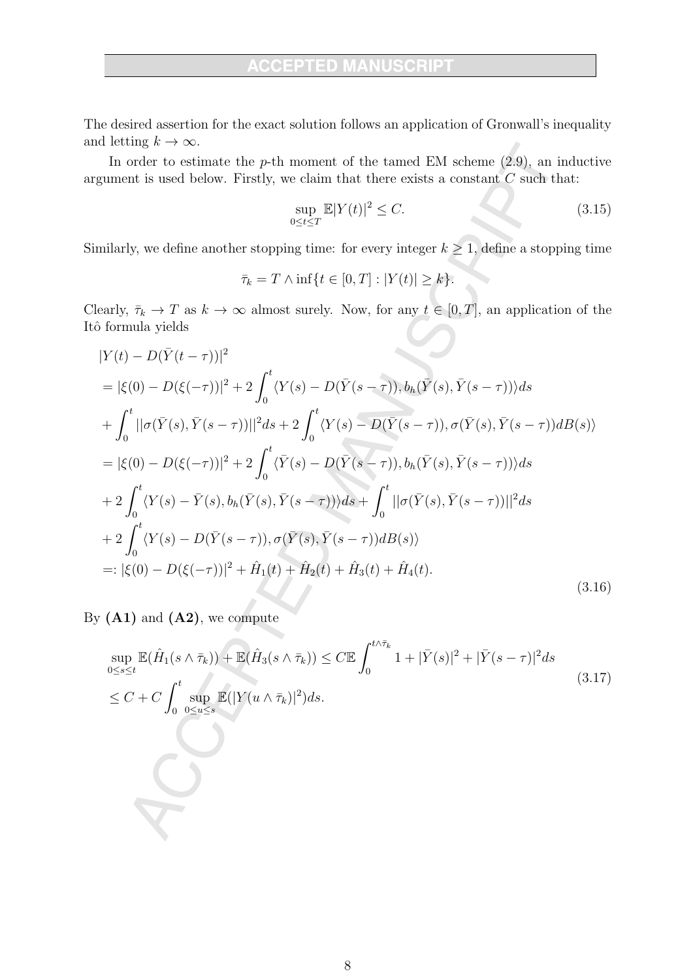The desired assertion for the exact solution follows an application of Gronwall's inequality and letting  $k \to \infty$ .

In order to estimate the  $p$ -th moment of the tamed EM scheme  $(2.9)$ , an inductive argument is used below. Firstly, we claim that there exists a constant  $C$  such that:

$$
\sup_{0 \le t \le T} \mathbb{E}|Y(t)|^2 \le C. \tag{3.15}
$$

Similarly, we define another stopping time: for every integer  $k \geq 1$ , define a stopping time

$$
\bar{\tau}_k = T \wedge \inf\{t \in [0, T] : |Y(t)| \ge k\}.
$$

Clearly,  $\bar{\tau}_k \to T$  as  $k \to \infty$  almost surely. Now, for any  $t \in [0, T]$ , an application of the Itô formula yields

$$
|Y(t) - D(\bar{Y}(t-\tau))|^2
$$
  
\n
$$
= |\xi(0) - D(\xi(-\tau))|^2 + 2 \int_0^t \langle Y(s) - D(\bar{Y}(s-\tau)), b_h(\bar{Y}(s), \bar{Y}(s-\tau)) \rangle ds
$$
  
\n
$$
+ \int_0^t ||\sigma(\bar{Y}(s), \bar{Y}(s-\tau))||^2 ds + 2 \int_0^t \langle Y(s) - D(\bar{Y}(s-\tau)), \sigma(\bar{Y}(s), \bar{Y}(s-\tau)) dB(s) \rangle
$$
  
\n
$$
= |\xi(0) - D(\xi(-\tau))|^2 + 2 \int_0^t \langle \bar{Y}(s) - D(\bar{Y}(s-\tau)), b_h(\bar{Y}(s), \bar{Y}(s-\tau)) \rangle ds
$$
  
\n
$$
+ 2 \int_0^t \langle Y(s) - \bar{Y}(s), b_h(\bar{Y}(s), \bar{Y}(s-\tau)) \rangle ds + \int_0^t ||\sigma(\bar{Y}(s), \bar{Y}(s-\tau))||^2 ds
$$
  
\n
$$
+ 2 \int_0^t \langle Y(s) - D(\bar{Y}(s-\tau)), \sigma(\bar{Y}(s), \bar{Y}(s-\tau)) dB(s) \rangle
$$
  
\n
$$
=: |\xi(0) - D(\xi(-\tau))|^2 + \hat{H}_1(t) + \hat{H}_2(t) + \hat{H}_3(t) + \hat{H}_4(t).
$$
\n(3.16)

By  $(A1)$  and  $(A2)$ , we compute

$$
\sup_{0\le s\le t} \mathbb{E}(\hat{H}_1(s \wedge \overline{\tau}_k)) + \mathbb{E}(\hat{H}_3(s \wedge \overline{\tau}_k)) \le C \mathbb{E} \int_0^{t \wedge \tau_k} 1 + |\overline{Y}(s)|^2 + |\overline{Y}(s - \tau)|^2 ds
$$
\n
$$
\le C + C \int_0^t \sup_{0\le u \le s} \mathbb{E}(|Y(u \wedge \overline{\tau}_k)|^2) ds. \tag{3.17}
$$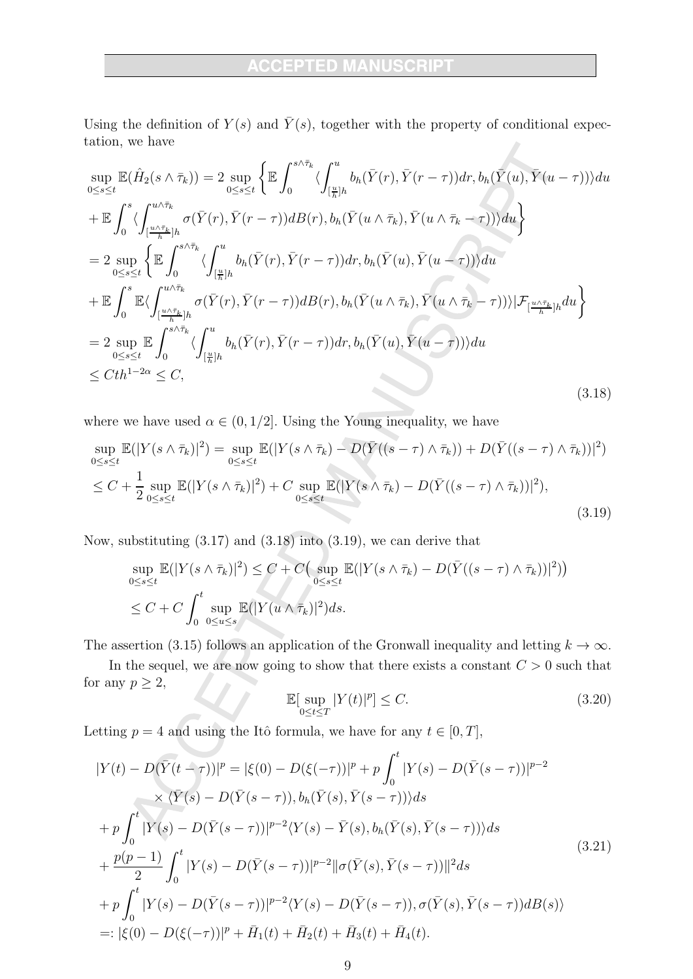### **ACCEPTED MANUSCR**

Using the definition of  $Y(s)$  and  $\overline{Y}(s)$ , together with the property of conditional expectation, we have

$$
\sup_{0\leq s\leq t} \mathbb{E}(\hat{H}_{2}(s\wedge\bar{\tau}_{k})) = 2 \sup_{0\leq s\leq t} \left\{ \mathbb{E} \int_{0}^{s\wedge\bar{\tau}_{k}} \langle \int_{\left[\frac{u}{h}\right]h}^{u} b_{h}(\bar{Y}(r),\bar{Y}(r-\tau))dr, b_{h}(\bar{Y}(u),\bar{Y}(u-\tau)) \rangle du \right\} \n+ \mathbb{E} \int_{0}^{s} \langle \int_{\left[\frac{u\wedge\bar{\tau}_{k}}{h}\right]h}^{u\wedge\bar{\tau}_{k}} \sigma(\bar{Y}(r),\bar{Y}(r-\tau))dB(r), b_{h}(\bar{Y}(u\wedge\bar{\tau}_{k}),\bar{Y}(u\wedge\bar{\tau}_{k}-\tau)) \rangle du \n= 2 \sup_{0\leq s\leq t} \left\{ \mathbb{E} \int_{0}^{s\wedge\bar{\tau}_{k}} \langle \int_{\left[\frac{u}{h}\right]h}^{u} b_{h}(\bar{Y}(r),\bar{Y}(r-\tau))dr, b_{h}(\bar{Y}(u),\bar{Y}(u-\tau)) \rangle du \right\} \n+ \mathbb{E} \int_{0}^{s} \mathbb{E} \langle \int_{\left[\frac{u\wedge\bar{\tau}_{k}}{h}\right]h}^{u\wedge\bar{\tau}_{k}} \sigma(\bar{Y}(r),\bar{Y}(r-\tau))dB(r), b_{h}(\bar{Y}(u\wedge\bar{\tau}_{k}),\bar{Y}(u\wedge\bar{\tau}_{k}-\tau)) \rangle | \mathcal{F}_{\left[\frac{u\wedge\bar{\tau}_{k}}{h}\right]h} du \right\} \n= 2 \sup_{0\leq s\leq t} \mathbb{E} \int_{0}^{s\wedge\bar{\tau}_{k}} \langle \int_{\left[\frac{u}{h}\right]h}^{u} b_{h}(\bar{Y}(r),\bar{Y}(r-\tau))dr, b_{h}(\bar{Y}(u),\bar{Y}(u-\tau)) \rangle du \n\leq Cth^{1-2\alpha} \leq C, \tag{3.18}
$$

where we have used  $\alpha \in (0, 1/2]$ . Using the Young inequality, we have

$$
\sup_{0\leq s\leq t} \mathbb{E}(|Y(s\wedge\bar{\tau}_k)|^2) = \sup_{0\leq s\leq t} \mathbb{E}(|Y(s\wedge\bar{\tau}_k) - D(\bar{Y}((s-\tau)\wedge\bar{\tau}_k)) + D(\bar{Y}((s-\tau)\wedge\bar{\tau}_k))|^2)
$$
  
\n
$$
\leq C + \frac{1}{2} \sup_{0\leq s\leq t} \mathbb{E}(|Y(s\wedge\bar{\tau}_k)|^2) + C \sup_{0\leq s\leq t} \mathbb{E}(|Y(s\wedge\bar{\tau}_k) - D(\bar{Y}((s-\tau)\wedge\bar{\tau}_k))|^2),
$$
\n(3.19)

Now, substituting  $(3.17)$  and  $(3.18)$  into  $(3.19)$ , we can derive that

$$
\sup_{0 \le s \le t} \mathbb{E}(|Y(s \wedge \overline{\tau}_k)|^2) \le C + C \Big( \sup_{0 \le s \le t} \mathbb{E}(|Y(s \wedge \overline{\tau}_k) - D(\overline{Y}((s - \tau) \wedge \overline{\tau}_k))|^2) \Big)
$$
  

$$
\le C + C \int_0^t \sup_{0 \le u \le s} \mathbb{E}(|Y(u \wedge \overline{\tau}_k)|^2) ds.
$$

The assertion (3.15) follows an application of the Gronwall inequality and letting  $k \to \infty$ .

In the sequel, we are now going to show that there exists a constant  $C > 0$  such that for any  $p \geq 2$ ,

$$
\mathbb{E}[\sup_{0\leq t\leq T}|Y(t)|^p] \leq C. \tag{3.20}
$$

Letting  $p = 4$  and using the Itô formula, we have for any  $t \in [0, T]$ ,

$$
|Y(t) - D(\bar{Y}(t-\tau))|^p = |\xi(0) - D(\xi(-\tau))|^p + p \int_0^t |Y(s) - D(\bar{Y}(s-\tau))|^{p-2}
$$
  
\n
$$
\times \langle \bar{Y}(s) - D(\bar{Y}(s-\tau)), b_h(\bar{Y}(s), \bar{Y}(s-\tau)) \rangle ds
$$
  
\n
$$
+ p \int_0^t |Y(s) - D(\bar{Y}(s-\tau))|^{p-2} \langle Y(s) - \bar{Y}(s), b_h(\bar{Y}(s), \bar{Y}(s-\tau)) \rangle ds
$$
  
\n
$$
+ \frac{p(p-1)}{2} \int_0^t |Y(s) - D(\bar{Y}(s-\tau))|^{p-2} ||\sigma(\bar{Y}(s), \bar{Y}(s-\tau))||^2 ds
$$
  
\n
$$
+ p \int_0^t |Y(s) - D(\bar{Y}(s-\tau))|^{p-2} \langle Y(s) - D(\bar{Y}(s-\tau)), \sigma(\bar{Y}(s), \bar{Y}(s-\tau)) dB(s) \rangle
$$
  
\n
$$
=: |\xi(0) - D(\xi(-\tau))|^p + \bar{H}_1(t) + \bar{H}_2(t) + \bar{H}_3(t) + \bar{H}_4(t).
$$
\n(3.21)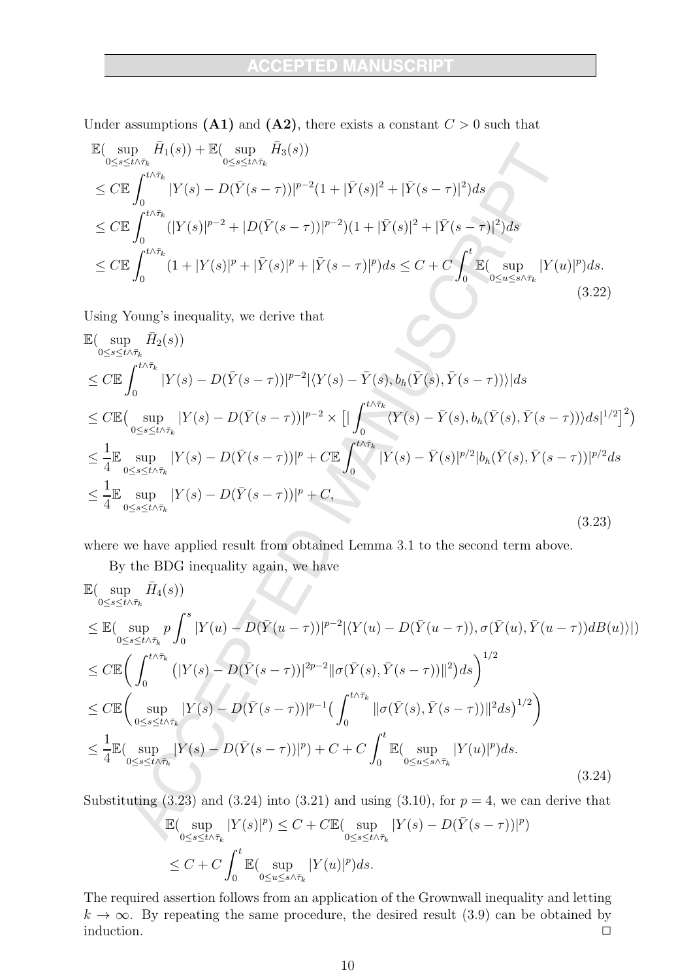Under assumptions (A1) and (A2), there exists a constant  $C > 0$  such that

$$
\mathbb{E}(\sup_{0\leq s\leq t\wedge\bar{\tau}_{k}}\bar{H}_{1}(s))+\mathbb{E}(\sup_{0\leq s\leq t\wedge\bar{\tau}_{k}}\bar{H}_{3}(s))\n\leq C\mathbb{E}\int_{0}^{t\wedge\bar{\tau}_{k}}|Y(s)-D(\bar{Y}(s-\tau))|^{p-2}(1+|\bar{Y}(s)|^{2}+|\bar{Y}(s-\tau)|^{2})ds\n\leq C\mathbb{E}\int_{0}^{t\wedge\bar{\tau}_{k}}(|Y(s)|^{p-2}+|D(\bar{Y}(s-\tau))|^{p-2})(1+|\bar{Y}(s)|^{2}+|\bar{Y}(s-\tau)|^{2})ds\n\leq C\mathbb{E}\int_{0}^{t\wedge\bar{\tau}_{k}}(1+|Y(s)|^{p}+|\bar{Y}(s)|^{p}+|\bar{Y}(s-\tau)|^{p})ds\leq C+C\int_{0}^{t}\mathbb{E}(\sup_{0\leq u\leq s\wedge\bar{\tau}_{k}}|Y(u)|^{p})ds.
$$
\n(3.22)

Using Young's inequality, we derive that

$$
\mathbb{E}(\sup_{0\leq s\leq t\wedge\bar{\tau}_{k}}\bar{H}_{2}(s))\n\leq C\mathbb{E}\int_{0}^{t\wedge\bar{\tau}_{k}}|Y(s)-D(\bar{Y}(s-\tau))|^{p-2}|\langle Y(s)-\bar{Y}(s),b_{h}(\bar{Y}(s),\bar{Y}(s-\tau))\rangle|ds\n\leq C\mathbb{E}(\sup_{0\leq s\leq t\wedge\bar{\tau}_{k}}|Y(s)-D(\bar{Y}(s-\tau))|^{p-2}\times[|\int_{0}^{t\wedge\bar{\tau}_{k}}\langle Y(s)-\bar{Y}(s),b_{h}(\bar{Y}(s),\bar{Y}(s-\tau))\rangle ds|^{1/2}]^{2})\n\leq \frac{1}{4}\mathbb{E}\sup_{0\leq s\leq t\wedge\bar{\tau}_{k}}|Y(s)-D(\bar{Y}(s-\tau))|^{p}+C\mathbb{E}\int_{0}^{t\wedge\bar{\tau}_{k}}|Y(s)-\bar{Y}(s)|^{p/2}|b_{h}(\bar{Y}(s),\bar{Y}(s-\tau))|^{p/2}ds\n\leq \frac{1}{4}\mathbb{E}\sup_{0\leq s\leq t\wedge\bar{\tau}_{k}}|Y(s)-D(\bar{Y}(s-\tau))|^{p}+C,
$$
\n(3.23)

where we have applied result from obtained Lemma 3.1 to the second term above.

By the BDG inequality again, we have

$$
\mathbb{E}(\sup_{0\leq s\leq t\wedge\bar{\tau}_{k}}\bar{H}_{4}(s))\n\leq \mathbb{E}(\sup_{0\leq s\leq t\wedge\bar{\tau}_{k}}p\int_{0}^{s}|Y(u)-D(\bar{Y}(u-\tau))|^{p-2}|\langle Y(u)-D(\bar{Y}(u-\tau)),\sigma(\bar{Y}(u),\bar{Y}(u-\tau))dB(u)\rangle|)\n\leq C\mathbb{E}(\int_{0}^{t\wedge\bar{\tau}_{k}}(|Y(s)-D(\bar{Y}(s-\tau))|^{2p-2}||\sigma(\bar{Y}(s),\bar{Y}(s-\tau))||^{2})ds)\n\leq C\mathbb{E}(\sup_{0\leq s\leq t\wedge\bar{\tau}_{k}}|Y(s)-D(\bar{Y}(s-\tau))|^{p-1}(\int_{0}^{t\wedge\bar{\tau}_{k}}||\sigma(\bar{Y}(s),\bar{Y}(s-\tau))||^{2}ds)^{1/2})\n\leq \frac{1}{4}\mathbb{E}(\sup_{0\leq s\leq t\wedge\bar{\tau}_{k}}|Y(s)-D(\bar{Y}(s-\tau))|^{p})+C+C\int_{0}^{t}\mathbb{E}(\sup_{0\leq u\leq s\wedge\bar{\tau}_{k}}|Y(u)|^{p})ds.\n\tag{3.24}
$$

Substituting (3.23) and (3.24) into (3.21) and using (3.10), for  $p = 4$ , we can derive that

$$
\mathbb{E}(\sup_{0\leq s\leq t\wedge\bar{\tau}_k}|Y(s)|^p) \leq C + C \mathbb{E}(\sup_{0\leq s\leq t\wedge\bar{\tau}_k}|Y(s)-D(\bar{Y}(s-\tau))|^p)
$$
  

$$
\leq C + C \int_0^t \mathbb{E}(\sup_{0\leq u\leq s\wedge\bar{\tau}_k}|Y(u)|^p) ds.
$$

The required assertion follows from an application of the Grownwall inequality and letting  $k \to \infty$ . By repeating the same procedure, the desired result (3.9) can be obtained by induction.  $\Box$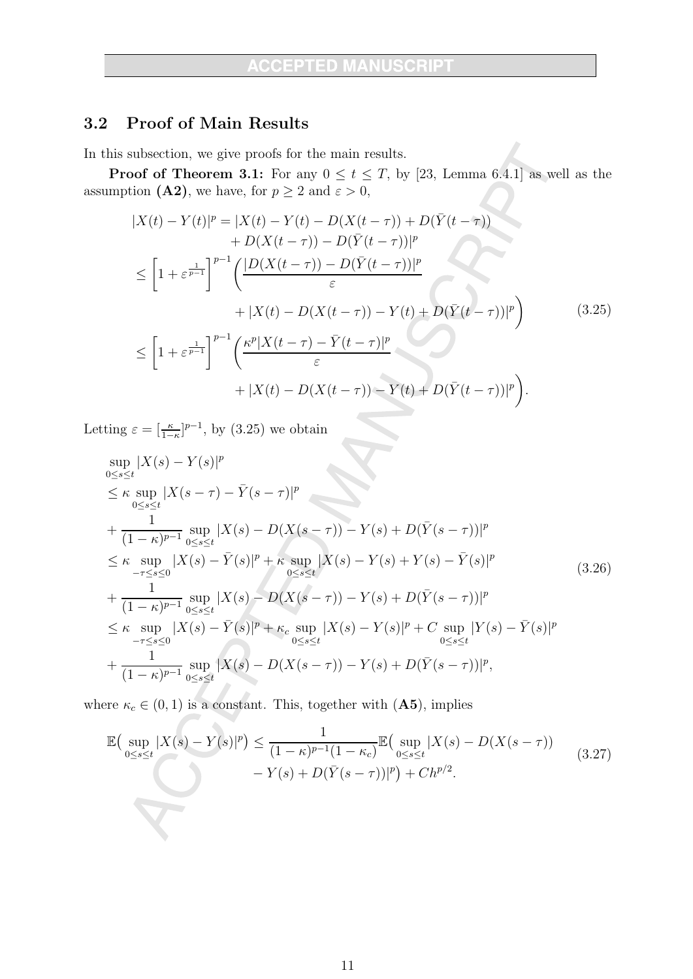#### Proof of Main Results  $3.2$

In this subsection, we give proofs for the main results.

**Proof of Theorem 3.1:** For any  $0 \le t \le T$ , by [23, Lemma 6.4.1] as well as the assumption (A2), we have, for  $p \ge 2$  and  $\varepsilon > 0$ ,

$$
|X(t) - Y(t)|^{p} = |X(t) - Y(t) - D(X(t - \tau)) + D(\bar{Y}(t - \tau)) + D(\bar{Y}(t - \tau)) + D(X(t - \tau)) - D(\bar{Y}(t - \tau))|^{p}
$$
  
\n
$$
\leq \left[1 + \varepsilon^{\frac{1}{p-1}}\right]^{p-1} \left(\frac{|D(X(t - \tau)) - D(\bar{Y}(t - \tau))|^{p}}{\varepsilon} + |X(t) - D(X(t - \tau)) - Y(t) + D(\bar{Y}(t - \tau))|^{p}\right) \tag{3.25}
$$
  
\n
$$
\leq \left[1 + \varepsilon^{\frac{1}{p-1}}\right]^{p-1} \left(\frac{\kappa^{p}|X(t - \tau) - \bar{Y}(t - \tau)|^{p}}{\varepsilon} + |X(t) - D(X(t - \tau)) - Y(t) + D(\bar{Y}(t - \tau))|^{p}\right).
$$

Letting  $\varepsilon = \left[\frac{\kappa}{1-\kappa}\right]^{p-1}$ , by (3.25) we obtain

$$
\sup_{0 \le s \le t} |X(s) - Y(s)|^p
$$
\n
$$
\le \kappa \sup_{0 \le s \le t} |X(s - \tau) - \bar{Y}(s - \tau)|^p
$$
\n+  $\frac{1}{(1 - \kappa)^{p-1}} \sup_{0 \le s \le t} |X(s) - D(X(s - \tau)) - Y(s) + D(\bar{Y}(s - \tau))|^p$ \n
$$
\le \kappa \sup_{-\tau \le s \le 0} |X(s) - \bar{Y}(s)|^p + \kappa \sup_{0 \le s \le t} |X(s) - Y(s) + Y(s) - \bar{Y}(s)|^p
$$
\n+  $\frac{1}{(1 - \kappa)^{p-1}} \sup_{0 \le s \le t} |X(s) - D(X(s - \tau)) - Y(s) + D(\bar{Y}(s - \tau))|^p$ \n
$$
\le \kappa \sup_{-\tau \le s \le 0} |X(s) - \bar{Y}(s)|^p + \kappa_c \sup_{0 \le s \le t} |X(s) - Y(s)|^p + C \sup_{0 \le s \le t} |Y(s) - \bar{Y}(s)|^p
$$
\n+  $\frac{1}{(1 - \kappa)^{p-1}} \sup_{0 \le s \le t} |X(s) - D(X(s - \tau)) - Y(s) + D(\bar{Y}(s - \tau))|^p$ , (3.26)

where  $\kappa_c \in (0, 1)$  is a constant. This, together with  $(\mathbf{A5})$ , implies

$$
\mathbb{E}\left(\sup_{0\leq s\leq t}|X(s)-Y(s)|^{p}\right) \leq \frac{1}{(1-\kappa)^{p-1}(1-\kappa_{c})}\mathbb{E}\left(\sup_{0\leq s\leq t}|X(s)-D(X(s-\tau))|^{p}\right) - Y(s)+D(\bar{Y}(s-\tau))|^{p}) + Ch^{p/2}.
$$
\n(3.27)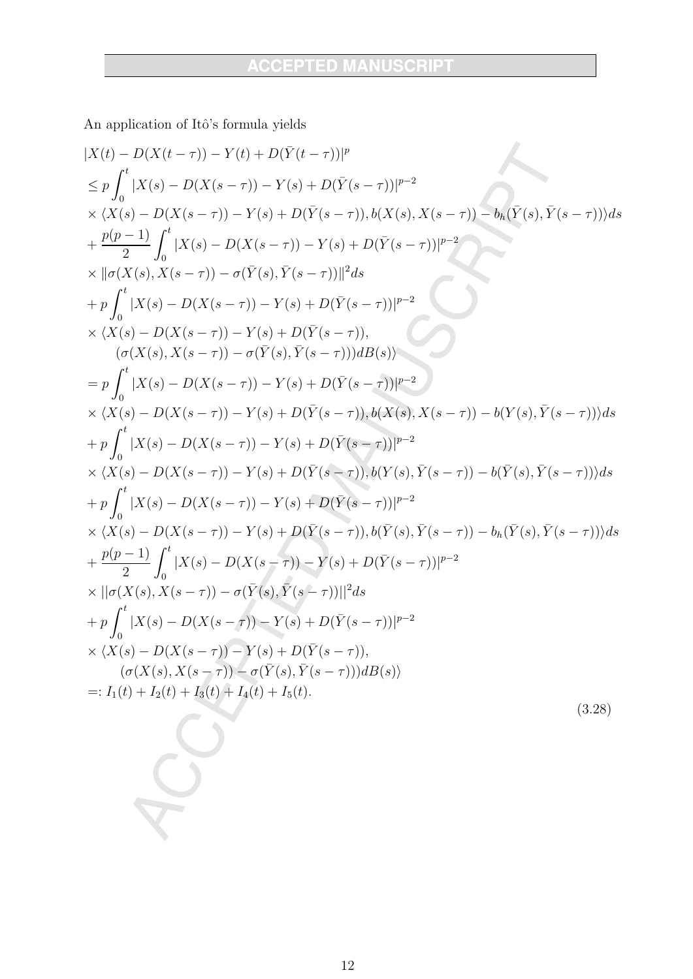An application of Itô's formula yields

$$
|X(t) - D(X(t - \tau)) - Y(t) + D(\bar{Y}(t - \tau))|^{p}
$$
  
\n
$$
\leq p \int_{0}^{t} |X(s) - D(X(s - \tau)) - Y(s) + D(\bar{Y}(s - \tau))|^{p-2}
$$
  
\n
$$
\times \langle X(s) - D(X(s - \tau)) - Y(s) + D(\bar{Y}(s - \tau)) + b(X(s), X(s - \tau)) - b_{h}(\bar{Y}(s), \bar{Y}(s - \tau)) \rangle ds
$$
  
\n
$$
+ \frac{p(p-1)}{2} \int_{0}^{t} |X(s) - D(X(s - \tau)) - Y(s) + D(\bar{Y}(s - \tau))|^{p-2}
$$
  
\n
$$
\times |[\sigma(X(s), X(s - \tau)) - \sigma(\bar{Y}(s), \bar{Y}(s - \tau))]|^{2} ds
$$
  
\n
$$
+ p \int_{0}^{t} |X(s) - D(X(s - \tau)) - Y(s) + D(\bar{Y}(s - \tau))|^{p-2}
$$
  
\n
$$
\times \langle X(s) - D(X(s - \tau)) - Y(s) + D(\bar{Y}(s - \tau))|^{p-2}
$$
  
\n
$$
\times \langle X(s) - D(X(s - \tau)) - Y(s) + D(\bar{Y}(s - \tau))|^{p-2}
$$
  
\n
$$
\times \langle X(s) - D(X(s - \tau)) - Y(s) + D(\bar{Y}(s - \tau))|^{p-2}
$$
  
\n
$$
\times \langle X(s) - D(X(s - \tau)) - Y(s) + D(\bar{Y}(s - \tau))|^{p-2}
$$
  
\n
$$
\times \langle X(s) - D(X(s - \tau)) - Y(s) + D(\bar{Y}(s - \tau))|^{p-2}
$$
  
\n
$$
\times \langle X(s) - D(X(s - \tau)) - Y(s) + D(\bar{Y}(s - \tau))|^{p-2}
$$
  
\n
$$
\times \langle X(s) - D(X(s - \tau)) - Y(s) + D(\bar{Y}(s - \tau))|^{p-2}
$$
  
\n
$$
\times \langle X(s) - D(X(s - \tau)) - Y(s) + D(\bar{Y}(s - \tau))|^{p-2}
$$
  
\n
$$
\times \langle X(s) - D(X(s - \tau)) - Y(s) + D(\bar{Y}(s - \tau))|^{p-2}
$$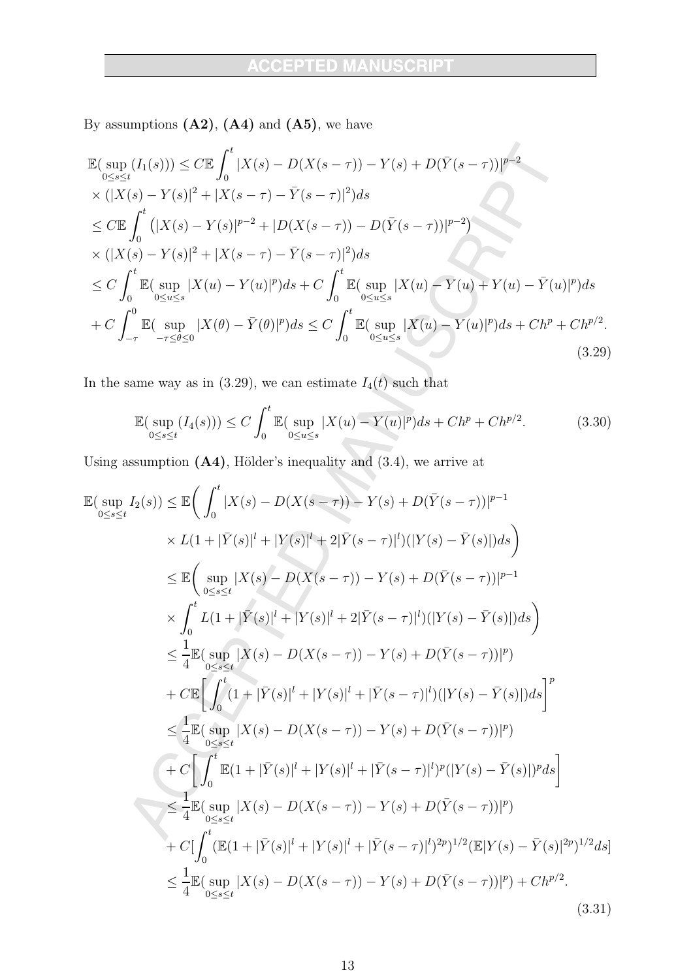By assumptions  $(A2)$ ,  $(A4)$  and  $(A5)$ , we have

$$
\mathbb{E}(\sup_{0\leq s\leq t} (I_1(s))) \leq C \mathbb{E} \int_0^t |X(s) - D(X(s-\tau)) - Y(s) + D(\bar{Y}(s-\tau))|^{p-2} \times (|X(s) - Y(s)|^2 + |X(s-\tau) - \bar{Y}(s-\tau)|^2) ds \n\leq C \mathbb{E} \int_0^t (|X(s) - Y(s)|^{p-2} + |D(X(s-\tau)) - D(\bar{Y}(s-\tau))|^{p-2}) \n\times (|X(s) - Y(s)|^2 + |X(s-\tau) - \bar{Y}(s-\tau)|^2) ds \n\leq C \int_0^t \mathbb{E}(\sup_{0\leq u\leq s} |X(u) - Y(u)|^p) ds + C \int_0^t \mathbb{E}(\sup_{0\leq u\leq s} |X(u) - Y(u) + Y(u) - \bar{Y}(u)|^p) ds \n+ C \int_{-\tau}^0 \mathbb{E}(\sup_{-\tau \leq \theta \leq 0} |X(\theta) - \bar{Y}(\theta)|^p) ds \leq C \int_0^t \mathbb{E}(\sup_{0\leq u\leq s} |X(u) - Y(u)|^p) ds + Ch^p + Ch^{p/2}.
$$
\n(3.29)

In the same way as in (3.29), we can estimate  $I_4(t)$  such that

$$
\mathbb{E}(\sup_{0\le s\le t} (I_4(s))) \le C \int_0^t \mathbb{E}(\sup_{0\le u\le s} |X(u) - Y(u)|^p) ds + Ch^p + Ch^{p/2}.
$$
 (3.30)

Using assumption  $(A4)$ , Hölder's inequality and  $(3.4)$ , we arrive at

$$
\mathbb{E}(\sup_{0\leq s\leq t} I_2(s)) \leq \mathbb{E}\Big(\int_0^t |X(s) - D(X(s-\tau)) - Y(s) + D(\bar{Y}(s-\tau))|^{p-1} \times L(1+|\bar{Y}(s)|^l + |Y(s)|^l + 2|\bar{Y}(s-\tau)|^l)(|Y(s) - \bar{Y}(s)|)ds\Big)
$$
\n
$$
\leq \mathbb{E}\Big(\sup_{0\leq s\leq t} |X(s) - D(X(s-\tau)) - Y(s) + D(\bar{Y}(s-\tau))|^{p-1} \times \int_0^t L(1+|\bar{Y}(s)|^l + |Y(s)|^l + 2|\bar{Y}(s-\tau)|^l)(|Y(s) - \bar{Y}(s)|)ds\Big)
$$
\n
$$
\leq \frac{1}{4}\mathbb{E}(\sup_{0\leq s\leq t} |X(s) - D(X(s-\tau)) - Y(s) + D(\bar{Y}(s-\tau))|^{p})
$$
\n
$$
+ C\mathbb{E}\Big[\int_0^t (1+|\bar{Y}(s)|^l + |Y(s)|^l + |\bar{Y}(s-\tau)|^l)(|Y(s) - \bar{Y}(s)|)ds\Big]^p
$$
\n
$$
\leq \frac{1}{4}\mathbb{E}(\sup_{0\leq s\leq t} |X(s) - D(X(s-\tau)) - Y(s) + D(\bar{Y}(s-\tau))|^{p})
$$
\n
$$
+ C\Big[\int_0^t \mathbb{E}(1+|\bar{Y}(s)|^l + |Y(s)|^l + |\bar{Y}(s-\tau)|^l)^p(|Y(s) - \bar{Y}(s)|)^pds\Big]
$$
\n
$$
\leq \frac{1}{4}\mathbb{E}(\sup_{0\leq s\leq t} |X(s) - D(X(s-\tau)) - Y(s) + D(\bar{Y}(s-\tau))|^{p})
$$
\n
$$
+ C\Big[\int_0^t (\mathbb{E}(1+|\bar{Y}(s)|^l + |Y(s)|^l + |\bar{Y}(s-\tau)|^l)^{2p})^{1/2}(\mathbb{E}|Y(s) - \bar{Y}(s)|^{2p})^{1/2}ds\Big]
$$
\n
$$
\leq \frac{1}{4}\mathbb{E}(\sup_{0\leq s\leq t} |X(s) - D(X(s-\tau)) - Y(s) + D(\bar{Y}(s-\tau))|^{p
$$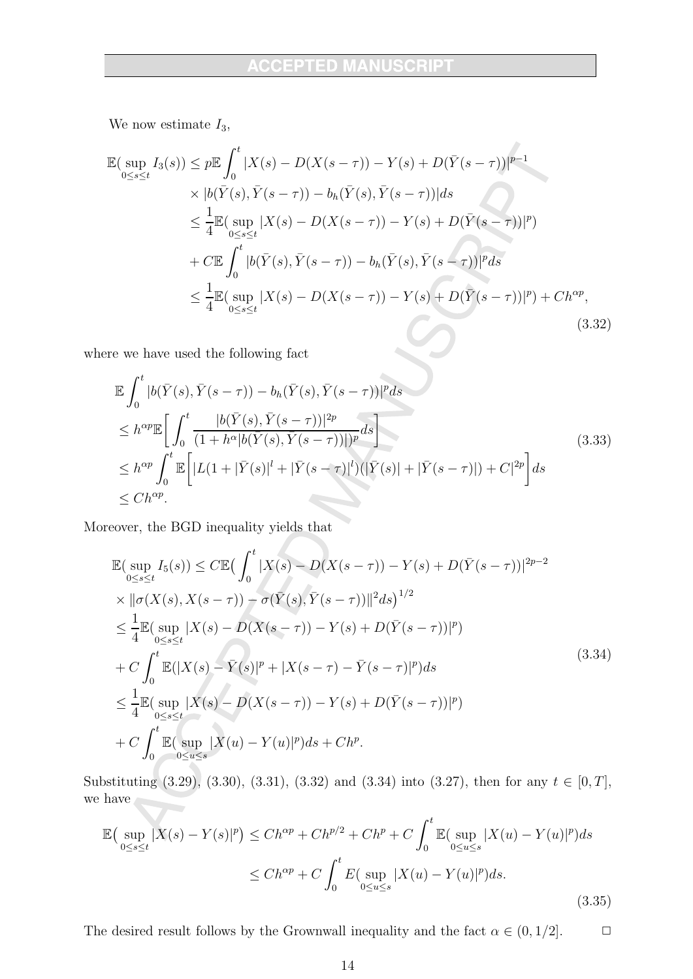We now estimate  $I_3$ ,

$$
\mathbb{E}(\sup_{0\leq s\leq t} I_3(s)) \leq p \mathbb{E} \int_0^t |X(s) - D(X(s-\tau)) - Y(s) + D(\bar{Y}(s-\tau))|^{p-1} \times |b(\bar{Y}(s), \bar{Y}(s-\tau)) - b_h(\bar{Y}(s), \bar{Y}(s-\tau))| ds
$$
  
\n
$$
\leq \frac{1}{4} \mathbb{E}(\sup_{0\leq s\leq t} |X(s) - D(X(s-\tau)) - Y(s) + D(\bar{Y}(s-\tau))|^{p})
$$
  
\n
$$
+ C \mathbb{E} \int_0^t |b(\bar{Y}(s), \bar{Y}(s-\tau)) - b_h(\bar{Y}(s), \bar{Y}(s-\tau))|^{p} ds
$$
  
\n
$$
\leq \frac{1}{4} \mathbb{E}(\sup_{0\leq s\leq t} |X(s) - D(X(s-\tau)) - Y(s) + D(\bar{Y}(s-\tau))|^{p}) + Ch^{\alpha p},
$$
\n(3.32)

where we have used the following fact

$$
\mathbb{E} \int_{0}^{t} |b(\bar{Y}(s), \bar{Y}(s-\tau)) - b_{h}(\bar{Y}(s), \bar{Y}(s-\tau))|^{p} ds \n\leq h^{\alpha p} \mathbb{E} \bigg[ \int_{0}^{t} \frac{|b(\bar{Y}(s), \bar{Y}(s-\tau))|^{2p}}{(1+h^{\alpha}|b(\bar{Y}(s), \bar{Y}(s-\tau))|)^{p}} ds \bigg] \n\leq h^{\alpha p} \int_{0}^{t} \mathbb{E} \bigg[ |L(1+|\bar{Y}(s)|^{l} + |\bar{Y}(s-\tau)|^{l}) (|\bar{Y}(s)| + |\bar{Y}(s-\tau)|) + C|^{2p} \bigg] ds \n\leq Ch^{\alpha p}.
$$
\n(3.33)

Moreover, the BGD inequality yields that  $% \overline{B}_{\rm{F}}$ 

$$
\mathbb{E}(\sup_{0\leq s\leq t} I_5(s)) \leq C \mathbb{E}(\int_0^t |X(s) - D(X(s-\tau)) - Y(s) + D(\bar{Y}(s-\tau))|^{2p-2} \times ||\sigma(X(s), X(s-\tau)) - \sigma(\bar{Y}(s), \bar{Y}(s-\tau))||^2 ds)^{1/2} \leq \frac{1}{4} \mathbb{E}(\sup_{0\leq s\leq t} |X(s) - D(X(s-\tau)) - Y(s) + D(\bar{Y}(s-\tau))|^p) \n+ C \int_0^t \mathbb{E}(|X(s) - \bar{Y}(s)|^p + |X(s-\tau) - \bar{Y}(s-\tau)|^p) ds \leq \frac{1}{4} \mathbb{E}(\sup_{0\leq s\leq t} |X(s) - D(X(s-\tau)) - Y(s) + D(\bar{Y}(s-\tau))|^p) \n+ C \int_0^t \mathbb{E}(\sup_{0\leq u\leq s} |X(u) - Y(u)|^p) ds + Ch^p.
$$
\n(3.34)

Substituting (3.29), (3.30), (3.31), (3.32) and (3.34) into (3.27), then for any  $t \in [0, T]$ , we have

$$
\mathbb{E}\left(\sup_{0\leq s\leq t}|X(s)-Y(s)|^{p}\right) \leq Ch^{\alpha p} + Ch^{p/2} + Ch^{p} + C\int_{0}^{t}\mathbb{E}(\sup_{0\leq u\leq s}|X(u)-Y(u)|^{p})ds
$$
  

$$
\leq Ch^{\alpha p} + C\int_{0}^{t}E(\sup_{0\leq u\leq s}|X(u)-Y(u)|^{p})ds.
$$
\n(3.35)

The desired result follows by the Grownwall inequality and the fact  $\alpha \in (0, 1/2]$ .  $\Box$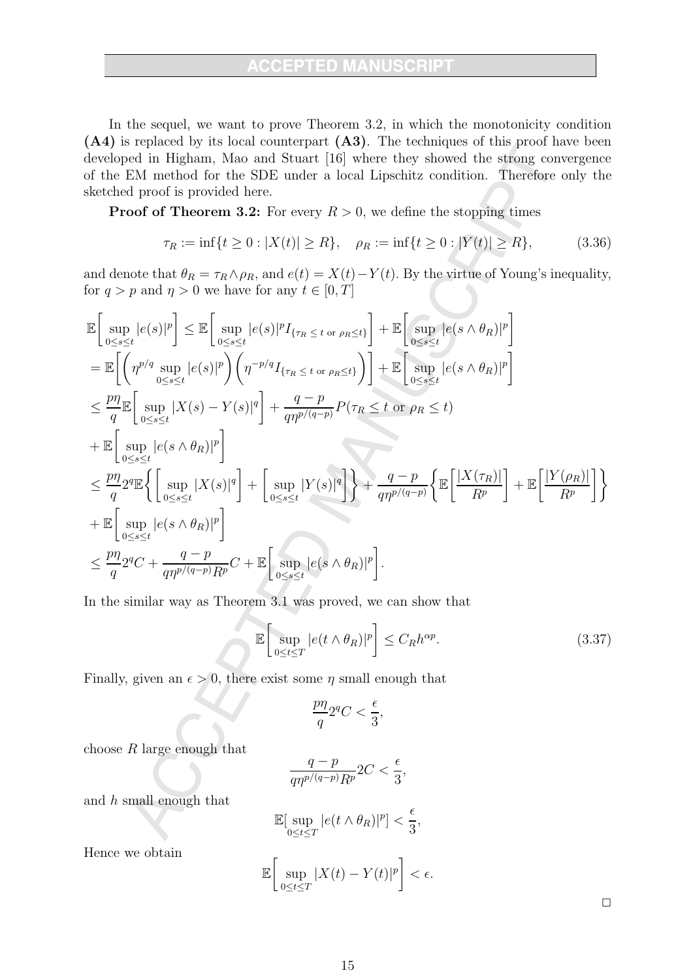In the sequel, we want to prove Theorem 3.2, in which the monotonicity condition  $(A4)$  is replaced by its local counterpart  $(A3)$ . The techniques of this proof have been developed in Higham, Mao and Stuart [16] where they showed the strong convergence of the EM method for the SDE under a local Lipschitz condition. Therefore only the sketched proof is provided here.

**Proof of Theorem 3.2:** For every  $R > 0$ , we define the stopping times

$$
\tau_R := \inf\{t \ge 0 : |X(t)| \ge R\}, \quad \rho_R := \inf\{t \ge 0 : |Y(t)| \ge R\},\tag{3.36}
$$

and denote that  $\theta_R = \tau_R \wedge \rho_R$ , and  $e(t) = X(t) - Y(t)$ . By the virtue of Young's inequality, for  $q > p$  and  $\eta > 0$  we have for any  $t \in [0, T]$ 

$$
\mathbb{E}\left[\sup_{0\leq s\leq t}|e(s)|^{p}\right] \leq \mathbb{E}\left[\sup_{0\leq s\leq t}|e(s)|^{p}I_{\{\tau_{R}\leq t \text{ or } \rho_{R}\leq t\}}\right] + \mathbb{E}\left[\sup_{0\leq s\leq t}|e(s\wedge\theta_{R})|^{p}\right]
$$
\n
$$
= \mathbb{E}\left[\left(\eta^{p/q}\sup_{0\leq s\leq t}|e(s)|^{p}\right)\left(\eta^{-p/q}I_{\{\tau_{R}\leq t \text{ or } \rho_{R}\leq t\}}\right)\right] + \mathbb{E}\left[\sup_{0\leq s\leq t}|e(s\wedge\theta_{R})|^{p}\right]
$$
\n
$$
\leq \frac{p\eta}{q}\mathbb{E}\left[\sup_{0\leq s\leq t}|X(s)-Y(s)|^{q}\right] + \frac{q-p}{q\eta^{p/(q-p)}}P(\tau_{R}\leq t \text{ or } \rho_{R}\leq t)
$$
\n
$$
+ \mathbb{E}\left[\sup_{0\leq s\leq t}|e(s\wedge\theta_{R})|^{p}\right]
$$
\n
$$
\leq \frac{p\eta}{q}2^{q}\mathbb{E}\left\{\sup_{0\leq s\leq t}|\chi(s)|^{q}\right] + \sup_{0\leq s\leq t}|Y(s)|^{q}\right\} + \frac{q-p}{q\eta^{p/(q-p)}}\left\{\mathbb{E}\left[\frac{|X(\tau_{R})|}{R^{p}}\right] + \mathbb{E}\left[\frac{|Y(\rho_{R})|}{R^{p}}\right]\right\}
$$
\n
$$
+ \mathbb{E}\left[\sup_{0\leq s\leq t}|e(s\wedge\theta_{R})|^{p}\right]
$$
\n
$$
\leq \frac{p\eta}{q}2^{q}C + \frac{q-p}{q\eta^{p/(q-p)}R^{p}}C + \mathbb{E}\left[\sup_{0\leq s\leq t}|e(s\wedge\theta_{R})|^{p}\right].
$$

In the similar way as Theorem 3.1 was proved, we can show that

$$
\mathbb{E}\left[\sup_{0\leq t\leq T}|e(t\wedge\theta_R)|^p\right]\leq C_R h^{\alpha p}.\tag{3.37}
$$

Finally, given an  $\epsilon > 0$ , there exist some  $\eta$  small enough that

$$
\frac{p\eta}{q}2^qC < \frac{\epsilon}{3},
$$

choose  $R$  large enough that

$$
\frac{q-p}{q\eta^{p/(q-p)}R^p}2C < \frac{\epsilon}{3},
$$

and  $h$  small enough that

$$
\mathbb{E}[\sup_{0 \le t \le T} |e(t \wedge \theta_R)|^p] < \frac{\epsilon}{3},
$$
\n
$$
\mathbb{E}\left[\sup_{0 \le t \le T} |X(t) - Y(t)|^p\right] < \epsilon.
$$

Hence we obtain

 $\Box$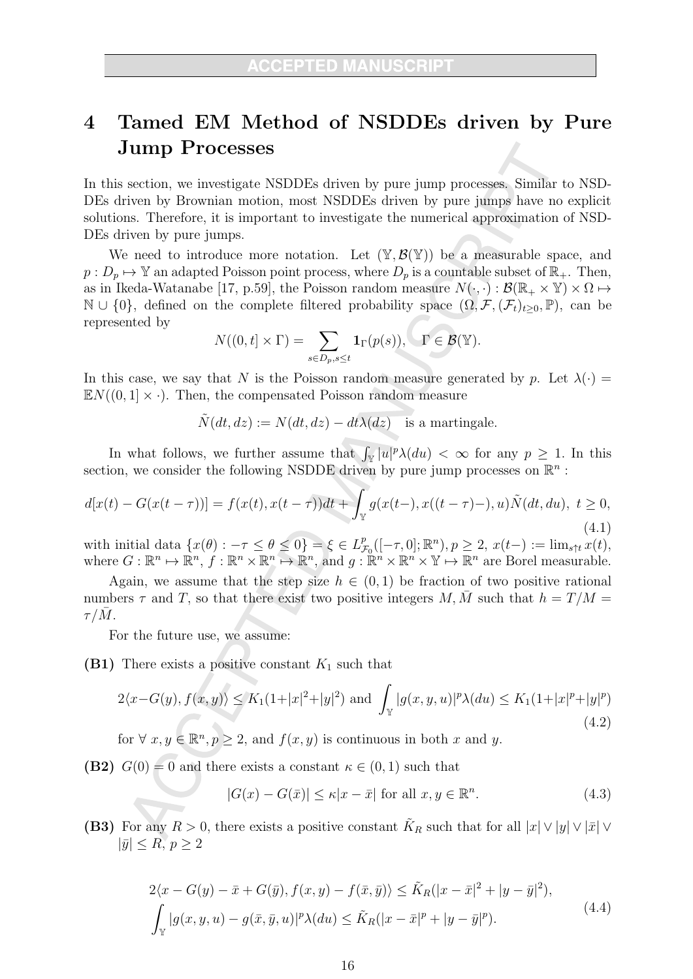### Tamed EM Method of NSDDEs driven by Pure  $\overline{\mathcal{A}}$ **Jump Processes**

In this section, we investigate NSDDEs driven by pure jump processes. Similar to NSD-DEs driven by Brownian motion, most NSDDEs driven by pure jumps have no explicit solutions. Therefore, it is important to investigate the numerical approximation of NSD-DEs driven by pure jumps.

We need to introduce more notation. Let  $(\mathbb{Y}, \mathcal{B}(\mathbb{Y}))$  be a measurable space, and  $p: D_p \mapsto \mathbb{Y}$  an adapted Poisson point process, where  $D_p$  is a countable subset of  $\mathbb{R}_+$ . Then, as in Ikeda-Watanabe [17, p.59], the Poisson random measure  $N(\cdot, \cdot): \mathcal{B}(\mathbb{R}_+ \times \mathbb{Y}) \times \Omega \mapsto$  $\mathbb{N} \cup \{0\}$ , defined on the complete filtered probability space  $(\Omega, \mathcal{F}, (\mathcal{F}_t)_{t>0}, \mathbb{P})$ , can be represented by

$$
N((0,t] \times \Gamma) = \sum_{s \in D_p, s \le t} \mathbf{1}_{\Gamma}(p(s)), \quad \Gamma \in \mathcal{B}(\mathbb{Y}).
$$

In this case, we say that N is the Poisson random measure generated by p. Let  $\lambda(\cdot)$  =  $\mathbb{E}N((0,1]\times\cdot)$ . Then, the compensated Poisson random measure

$$
\tilde{N}(dt, dz) := N(dt, dz) - dt\lambda(dz) \text{ is a martingale.}
$$

In what follows, we further assume that  $\int_{\mathbb{V}} |u|^p \lambda(du) < \infty$  for any  $p \geq 1$ . In this section, we consider the following NSDDE driven by pure jump processes on  $\mathbb{R}^n$ :

$$
d[x(t) - G(x(t-\tau))] = f(x(t), x(t-\tau))dt + \int_{\mathbb{Y}} g(x(t-), x((t-\tau)-), u)\tilde{N}(dt, du), \ t \ge 0,
$$
\n(4.1)

with initial data  $\{x(\theta) : -\tau \le \theta \le 0\} = \xi \in L_{\mathcal{F}_0}^p([-\tau,0];\mathbb{R}^n), p \ge 2, x(t-) := \lim_{s \uparrow t} x(t),$ <br>where  $G : \mathbb{R}^n \mapsto \mathbb{R}^n, f : \mathbb{R}^n \times \mathbb{R}^n \mapsto \mathbb{R}^n$ , and  $g : \mathbb{R}^n \times \mathbb{R}^n \times \mathbb{Y} \mapsto \mathbb{R}^n$  are Borel measura

Again, we assume that the step size  $h \in (0,1)$  be fraction of two positive rational numbers  $\tau$  and T, so that there exist two positive integers M,  $\overline{M}$  such that  $h = T/M =$  $\tau/M$ .

For the future use, we assume:

(B1) There exists a positive constant  $K_1$  such that

$$
2\langle x - G(y), f(x, y) \rangle \le K_1 (1 + |x|^2 + |y|^2) \text{ and } \int_{\mathbb{Y}} |g(x, y, u)|^p \lambda(du) \le K_1 (1 + |x|^p + |y|^p)
$$
\n(4.2)

for  $\forall x, y \in \mathbb{R}^n, p \ge 2$ , and  $f(x, y)$  is continuous in both x and y.

**(B2)**  $G(0) = 0$  and there exists a constant  $\kappa \in (0,1)$  such that

$$
|G(x) - G(\bar{x})| \le \kappa |x - \bar{x}| \text{ for all } x, y \in \mathbb{R}^n. \tag{4.3}
$$

(B3) For any  $R > 0$ , there exists a positive constant  $\tilde{K}_R$  such that for all  $|x| \vee |y| \vee |\bar{x}| \vee$  $|\bar{y}| \leq R, p \geq 2$ 

$$
2\langle x - G(y) - \bar{x} + G(\bar{y}), f(x, y) - f(\bar{x}, \bar{y})\rangle \le \tilde{K}_R(|x - \bar{x}|^2 + |y - \bar{y}|^2),
$$
  

$$
\int_{\mathbb{Y}} |g(x, y, u) - g(\bar{x}, \bar{y}, u)|^p \lambda(du) \le \tilde{K}_R(|x - \bar{x}|^p + |y - \bar{y}|^p).
$$
 (4.4)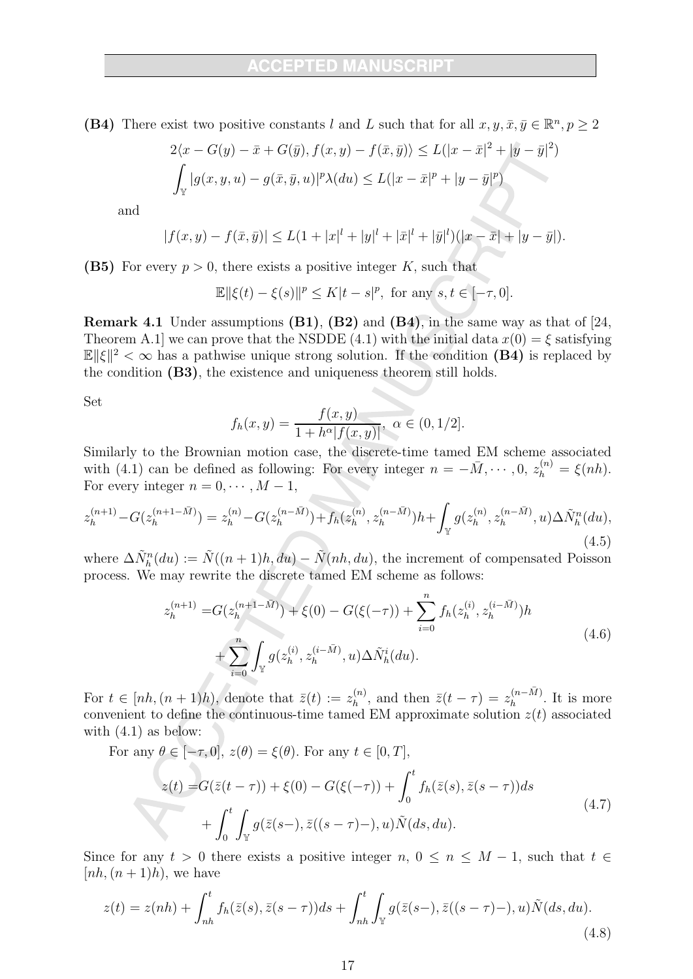(B4) There exist two positive constants l and L such that for all  $x, y, \bar{x}, \bar{y} \in \mathbb{R}^n, p \geq 2$ 

$$
2\langle x - G(y) - \overline{x} + G(\overline{y}), f(x, y) - f(\overline{x}, \overline{y})\rangle \le L(|x - \overline{x}|^2 + |y - \overline{y}|^2)
$$
  

$$
\int_{\mathbb{Y}} |g(x, y, u) - g(\overline{x}, \overline{y}, u)|^p \lambda(du) \le L(|x - \overline{x}|^p + |y - \overline{y}|^p)
$$

and

$$
|f(x,y) - f(\bar{x}, \bar{y})| \le L(1 + |x|^l + |y|^l + |\bar{x}|^l + |\bar{y}|^l)(|x - \bar{x}| + |y - \bar{y}|).
$$

(B5) For every  $p > 0$ , there exists a positive integer K, such that

$$
\mathbb{E} ||\xi(t) - \xi(s)||^p \le K|t - s|^p, \text{ for any } s, t \in [-\tau, 0].
$$

**Remark 4.1** Under assumptions  $(B1)$ ,  $(B2)$  and  $(B4)$ , in the same way as that of [24,] Theorem A.1 we can prove that the NSDDE (4.1) with the initial data  $x(0) = \xi$  satisfying  $\mathbb{E} \|\xi\|^2 < \infty$  has a pathwise unique strong solution. If the condition (B4) is replaced by the condition (B3), the existence and uniqueness theorem still holds.

Set

$$
f_h(x,y) = \frac{f(x,y)}{1 + h^{\alpha}|f(x,y)|}, \ \alpha \in (0,1/2].
$$

Similarly to the Brownian motion case, the discrete-time tamed EM scheme associated with (4.1) can be defined as following: For every integer  $n = -\overline{M}, \dots, 0, z_h^{(n)} = \xi(nh)$ . For every integer  $n = 0, \dots, M - 1$ ,

$$
z_h^{(n+1)} - G(z_h^{(n+1-\bar{M})}) = z_h^{(n)} - G(z_h^{(n-\bar{M})}) + f_h(z_h^{(n)}, z_h^{(n-\bar{M})})h + \int_{\mathbb{Y}} g(z_h^{(n)}, z_h^{(n-\bar{M})}, u) \Delta \tilde{N}_h^n(du),
$$
\n(4.5)

where  $\Delta \tilde{N}_h^n(du) := \tilde{N}((n+1)h, du) - \tilde{N}(nh, du)$ , the increment of compensated Poisson process. We may rewrite the discrete tamed EM scheme as follows:

$$
z_h^{(n+1)} = G(z_h^{(n+1-M)}) + \xi(0) - G(\xi(-\tau)) + \sum_{i=0}^n f_h(z_h^{(i)}, z_h^{(i-\bar{M})})h + \sum_{i=0}^n \int_{\mathbb{Y}} g(z_h^{(i)}, z_h^{(i-\bar{M})}, u) \Delta \tilde{N}_h^i(du).
$$
\n(4.6)

For  $t \in [nh, (n+1)h)$ , denote that  $\bar{z}(t) := z_h^{(n)}$ , and then  $\bar{z}(t - \tau) = z_h^{(n-\bar{M})}$ . It is more convenient to define the continuous-time tamed EM approximate solution  $z(t)$  associated with  $(4.1)$  as below:

For any  $\theta\in[-\tau,0],\,z(\theta)=\xi(\theta).$  For any  $t\in[0,T],$ 

$$
z(t) = G(\bar{z}(t-\tau)) + \xi(0) - G(\xi(-\tau)) + \int_0^t f_h(\bar{z}(s), \bar{z}(s-\tau))ds + \int_0^t \int_{\mathbb{Y}} g(\bar{z}(s-), \bar{z}((s-\tau)-), u) \tilde{N}(ds, du).
$$
 (4.7)

Since for any  $t > 0$  there exists a positive integer  $n, 0 \le n \le M - 1$ , such that  $t \in$  $[nh, (n+1)h)$ , we have

$$
z(t) = z(nh) + \int_{nh}^{t} f_h(\bar{z}(s), \bar{z}(s-\tau))ds + \int_{nh}^{t} \int_{\mathbb{Y}} g(\bar{z}(s-), \bar{z}((s-\tau)-), u)\tilde{N}(ds, du). \tag{4.8}
$$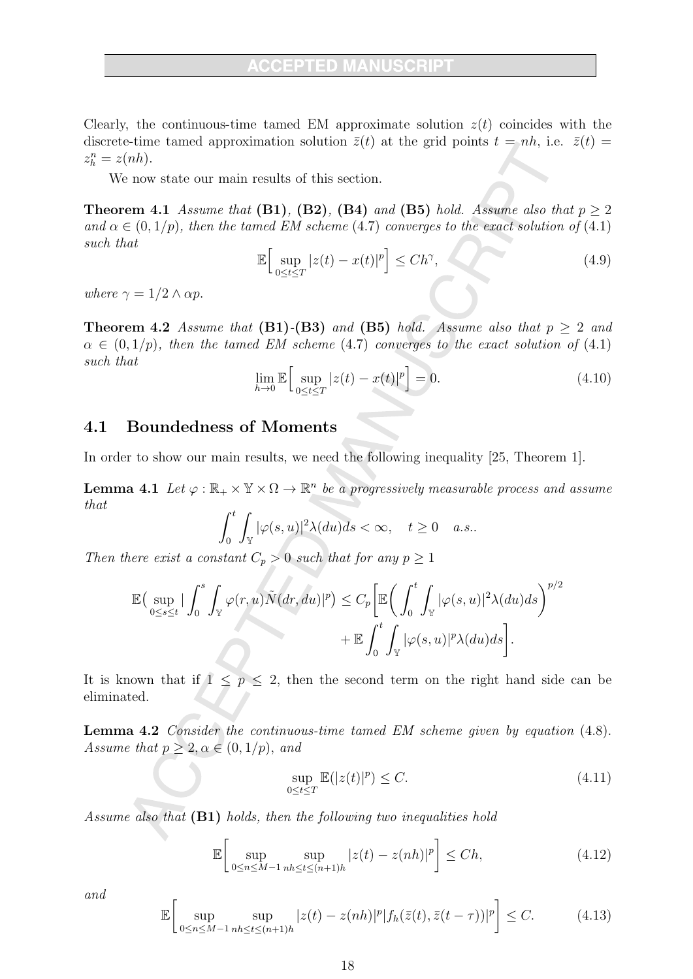Clearly, the continuous-time tamed EM approximate solution  $z(t)$  coincides with the discrete-time tamed approximation solution  $\bar{z}(t)$  at the grid points  $t = nh$ , i.e.  $\bar{z}(t) =$  $z_h^n = z(nh)$ .

We now state our main results of this section.

**Theorem 4.1** Assume that (B1), (B2), (B4) and (B5) hold. Assume also that  $p \geq 2$ and  $\alpha \in (0, 1/p)$ , then the tamed EM scheme (4.7) converges to the exact solution of (4.1) such that

$$
\mathbb{E}\Big[\sup_{0\leq t\leq T}|z(t)-x(t)|^p\Big]\leq Ch^\gamma,\tag{4.9}
$$

where  $\gamma = 1/2 \wedge \alpha p$ .

**Theorem 4.2** Assume that  $(B1)-(B3)$  and  $(B5)$  hold. Assume also that  $p > 2$  and  $\alpha \in (0,1/p)$ , then the tamed EM scheme (4.7) converges to the exact solution of (4.1) such that

$$
\lim_{h \to 0} \mathbb{E} \Big[ \sup_{0 \le t \le T} |z(t) - x(t)|^p \Big] = 0. \tag{4.10}
$$

#### **Boundedness of Moments** 4.1

In order to show our main results, we need the following inequality  $[25,$  Theorem 1.

**Lemma 4.1** Let  $\varphi : \mathbb{R}_+ \times \mathbb{Y} \times \Omega \to \mathbb{R}^n$  be a progressively measurable process and assume that

$$
\int_0^t \int_{\mathbb{Y}} |\varphi(s, u)|^2 \lambda(du) ds < \infty, \quad t \ge 0 \quad a.s.
$$

Then there exist a constant  $C_p > 0$  such that for any  $p \ge 1$ 

$$
\mathbb{E}\left(\sup_{0\leq s\leq t}|\int_0^s \int_{\mathbb{Y}}\varphi(r,u)\tilde{N}(dr,du)|^p\right) \leq C_p \bigg[\mathbb{E}\bigg(\int_0^t \int_{\mathbb{Y}}|\varphi(s,u)|^2\lambda(du)ds\bigg)^{p/2} + \mathbb{E}\int_0^t \int_{\mathbb{Y}}|\varphi(s,u)|^p\lambda(du)ds\bigg].
$$

It is known that if  $1 \leq p \leq 2$ , then the second term on the right hand side can be eliminated.

**Lemma 4.2** Consider the continuous-time tamed EM scheme given by equation (4.8). Assume that  $p \geq 2, \alpha \in (0, 1/p)$ , and

$$
\sup_{0 \le t \le T} \mathbb{E}(|z(t)|^p) \le C. \tag{4.11}
$$

Assume also that (B1) holds, then the following two inequalities hold

$$
\mathbb{E}\left[\sup_{0\leq n\leq M-1}\sup_{nh\leq t\leq (n+1)h}|z(t)-z(nh)|^p\right]\leq Ch,\tag{4.12}
$$

and

$$
\mathbb{E}\bigg[\sup_{0\leq n\leq M-1}\sup_{nh\leq t\leq (n+1)h}|z(t)-z(nh)|^p|f_h(\bar{z}(t),\bar{z}(t-\tau))|^p\bigg]\leq C.\tag{4.13}
$$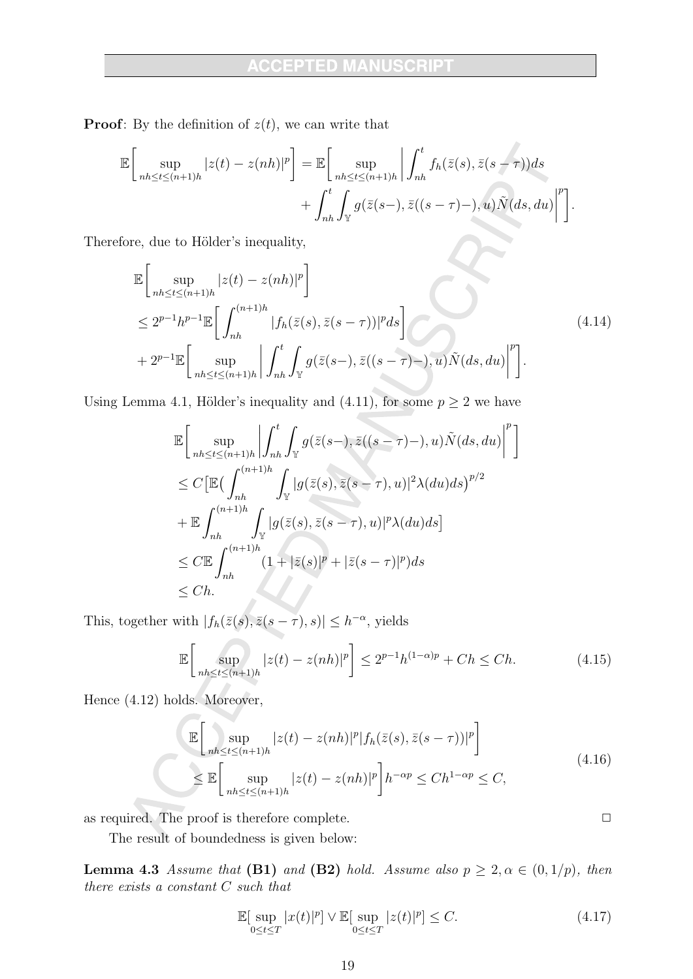**Proof:** By the definition of  $z(t)$ , we can write that

$$
\mathbb{E}\bigg[\sup_{nh\leq t\leq (n+1)h}|z(t)-z(nh)|^p\bigg] = \mathbb{E}\bigg[\sup_{nh\leq t\leq (n+1)h}\bigg|\int_{nh}^t f_h(\bar{z}(s),\bar{z}(s-\tau))ds + \int_{nh}^t \int_{\mathbb{Y}} g(\bar{z}(s-),\bar{z}((s-\tau)-),u)\tilde{N}(ds,du)\bigg|^p\bigg]
$$

Therefore, due to Hölder's inequality,

$$
\mathbb{E}\left[\sup_{nh\leq t\leq (n+1)h}|z(t)-z(nh)|^p\right]
$$
\n
$$
\leq 2^{p-1}h^{p-1}\mathbb{E}\left[\int_{nh}^{(n+1)h}|f_h(\bar{z}(s),\bar{z}(s-\tau))|^pds\right]
$$
\n
$$
+2^{p-1}\mathbb{E}\left[\sup_{nh\leq t\leq (n+1)h}\left|\int_{nh}^t\int_{\mathbb{Y}}g(\bar{z}(s-),\bar{z}((s-\tau)-),u)\tilde{N}(ds,du)\right|^p\right].
$$
\n(4.14)

Using Lemma 4.1, Hölder's inequality and (4.11), for some  $p \ge 2$  we have

$$
\mathbb{E}\Bigg[\sup_{nh\leq t\leq (n+1)h}\Bigg|\int_{nh}^{t}\int_{\mathbb{Y}}g(\bar{z}(s-),\bar{z}((s-\tau)-),u)\tilde{N}(ds,du)\Bigg|^{p}\Bigg]
$$
  
\n
$$
\leq C\Big[\mathbb{E}\Big(\int_{nh}^{(n+1)h}\int_{\mathbb{Y}}|g(\bar{z}(s),\bar{z}(s-\tau),u)|^{2}\lambda(du)ds\Big)^{p/2}
$$
  
\n
$$
+\mathbb{E}\int_{nh}^{(n+1)h}\int_{\mathbb{Y}}|g(\bar{z}(s),\bar{z}(s-\tau),u)|^{p}\lambda(du)ds\Big]
$$
  
\n
$$
\leq C\mathbb{E}\int_{nh}^{(n+1)h}(1+|\bar{z}(s)|^{p}+|\bar{z}(s-\tau)|^{p})ds
$$
  
\n
$$
\leq Ch.
$$

This, together with  $|f_h(\bar{z}(s), \bar{z}(s-\tau), s)| \leq h^{-\alpha}$ , yields

$$
\mathbb{E}\left[\sup_{nh\leq t\leq (n+1)h} |z(t) - z(nh)|^p\right] \leq 2^{p-1}h^{(1-\alpha)p} + Ch \leq Ch. \tag{4.15}
$$

Hence (4.12) holds. Moreover,

$$
\mathbb{E}\left[\sup_{nh\leq t\leq (n+1)h} |z(t)-z(nh)|^p |f_h(\bar{z}(s),\bar{z}(s-\tau))|^p\right]
$$
\n
$$
\leq \mathbb{E}\left[\sup_{nh\leq t\leq (n+1)h} |z(t)-z(nh)|^p\right]h^{-\alpha p} \leq Ch^{1-\alpha p} \leq C,
$$
\n(4.16)

as required. The proof is therefore complete.

The result of boundedness is given below:

**Lemma 4.3** Assume that (B1) and (B2) hold. Assume also  $p \geq 2, \alpha \in (0, 1/p)$ , then there exists a constant  $C$  such that

$$
\mathbb{E}[\sup_{0\leq t\leq T}|x(t)|^p] \vee \mathbb{E}[\sup_{0\leq t\leq T}|z(t)|^p] \leq C. \tag{4.17}
$$

 $\Box$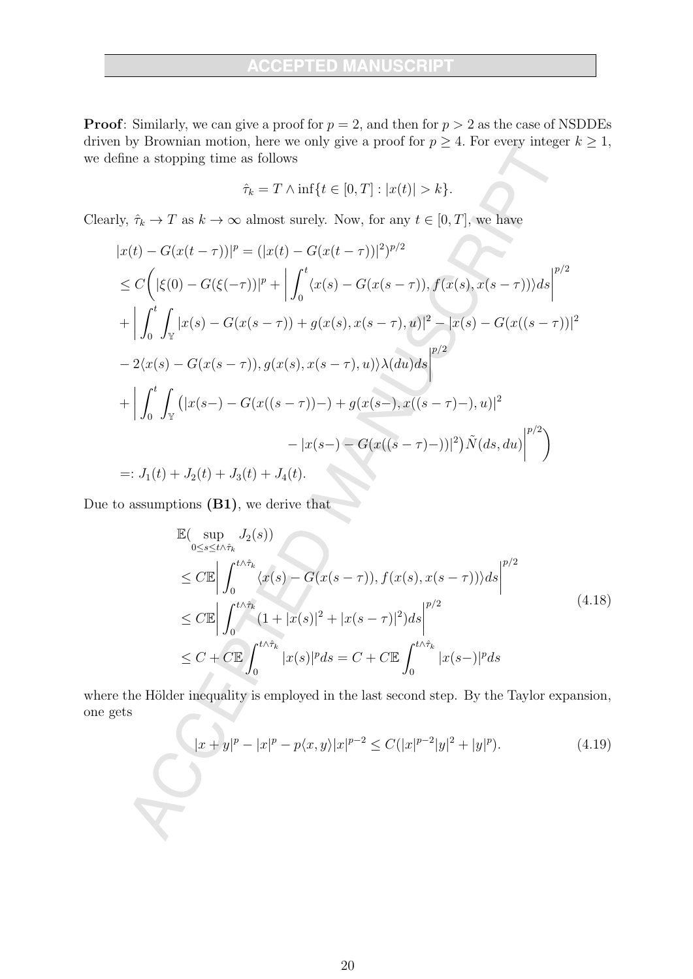**Proof:** Similarly, we can give a proof for  $p = 2$ , and then for  $p > 2$  as the case of NSDDEs driven by Brownian motion, here we only give a proof for  $p \geq 4$ . For every integer  $k \geq 1$ , we define a stopping time as follows

$$
\hat{\tau}_k = T \wedge \inf\{t \in [0, T] : |x(t)| > k\}.
$$

Clearly,  $\hat{\tau}_k \to T$  as  $k \to \infty$  almost surely. Now, for any  $t \in [0, T]$ , we have

$$
|x(t) - G(x(t-\tau))|^p = (|x(t) - G(x(t-\tau))|^2)^{p/2}
$$
  
\n
$$
\leq C \Big( |\xi(0) - G(\xi(-\tau))|^p + \Big| \int_0^t \langle x(s) - G(x(s-\tau)), f(x(s), x(s-\tau)) \rangle ds \Big|^{p/2}
$$
  
\n
$$
+ \Big| \int_0^t \int_{\mathbb{Y}} |x(s) - G(x(s-\tau)) + g(x(s), x(s-\tau), u)|^2 - |x(s) - G(x((s-\tau))|^2
$$
  
\n
$$
- 2\langle x(s) - G(x(s-\tau)), g(x(s), x(s-\tau), u) \rangle \lambda(du) ds \Big|^{p/2}
$$
  
\n
$$
+ \Big| \int_0^t \int_{\mathbb{Y}} (|x(s-) - G(x((s-\tau)) -) + g(x(s-), x((s-\tau) -), u)|^2
$$
  
\n
$$
- |x(s-) - G(x((s-\tau) -))|^2) \tilde{N}(ds, du) \Big|^{p/2} \Big)
$$
  
\n
$$
=: J_1(t) + J_2(t) + J_3(t) + J_4(t).
$$

Due to assumptions  $(B1)$ , we derive that

$$
\mathbb{E}(\sup_{0\leq s\leq t\wedge\hat{\tau}_{k}} J_{2}(s))
$$
\n
$$
\leq C \mathbb{E} \left| \int_{0}^{t\wedge\hat{\tau}_{k}} \langle x(s) - G(x(s-\tau)), f(x(s), x(s-\tau)) \rangle ds \right|^{p/2}
$$
\n
$$
\leq C \mathbb{E} \left| \int_{0}^{t\wedge\hat{\tau}_{k}} (1+|x(s)|^{2} + |x(s-\tau)|^{2}) ds \right|^{p/2}
$$
\n
$$
\leq C + C \mathbb{E} \int_{0}^{t\wedge\hat{\tau}_{k}} |x(s)|^{p} ds = C + C \mathbb{E} \int_{0}^{t\wedge\hat{\tau}_{k}} |x(s-\tau)|^{p} ds
$$
\n(4.18)

where the Hölder inequality is employed in the last second step. By the Taylor expansion, one gets

$$
|x+y|^p - |x|^p - p\langle x, y \rangle |x|^{p-2} \le C(|x|^{p-2}|y|^2 + |y|^p). \tag{4.19}
$$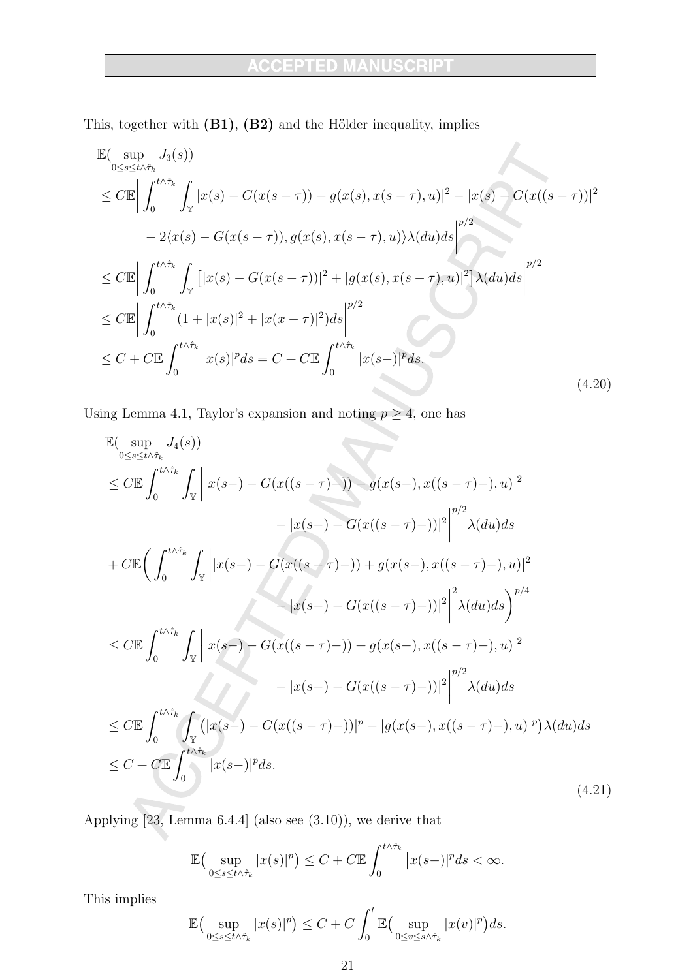À

This, together with (B1), (B2) and the Hölder inequality, implies

$$
\mathbb{E}(\sup_{0 \le s \le t \wedge \hat{\tau}_k} J_3(s))
$$
\n
$$
\le C \mathbb{E} \left| \int_0^{t \wedge \hat{\tau}_k} \int_{\mathbb{Y}} |x(s) - G(x(s - \tau)) + g(x(s), x(s - \tau), u)|^2 - |x(s) - G(x((s - \tau))|^2 \right|
$$
\n
$$
- 2\langle x(s) - G(x(s - \tau)), g(x(s), x(s - \tau), u) \rangle \lambda(du) ds \right|^{p/2}
$$
\n
$$
\le C \mathbb{E} \left| \int_0^{t \wedge \hat{\tau}_k} \int_{\mathbb{Y}} \left[ |x(s) - G(x(s - \tau))|^2 + |g(x(s), x(s - \tau), u)|^2 \right] \lambda(du) ds \right|^{p/2}
$$
\n
$$
\le C \mathbb{E} \left| \int_0^{t \wedge \hat{\tau}_k} (1 + |x(s)|^2 + |x(x - \tau)|^2) ds \right|^{p/2}
$$
\n
$$
\le C + C \mathbb{E} \int_0^{t \wedge \hat{\tau}_k} |x(s)|^p ds = C + C \mathbb{E} \int_0^{t \wedge \hat{\tau}_k} |x(s - \tau)|^p ds
$$
\n(4.20)

Using Lemma 4.1, Taylor's expansion and noting  $p \ge 4$ , one has

$$
\mathbb{E}(\sup_{0\leq s\leq t\wedge\hat{\tau}_{k}}J_{4}(s))
$$
\n
$$
\leq C\mathbb{E}\int_{0}^{t\wedge\hat{\tau}_{k}}\int_{\mathbb{Y}}\left||x(s-)-G(x((s-\tau)-))|+g(x(s-),x((s-\tau)-),u)|^{2}\right|^{p/2}\lambda(du)ds
$$
\n
$$
+C\mathbb{E}\Big(\int_{0}^{t\wedge\hat{\tau}_{k}}\int_{\mathbb{Y}}\left||x(s-)-G(x((s-\tau)-))|+g(x(s-),x((s-\tau)-),u)|^{2}\right|^{p/2}\lambda(du)ds
$$
\n
$$
\leq C\mathbb{E}\int_{0}^{t\wedge\hat{\tau}_{k}}\int_{\mathbb{Y}}\left||x(s-)-G(x((s-\tau)-))|+g(x(s-),x((s-\tau)-),u)|^{2}\right|^{2}\lambda(du)ds\Big)^{p/4}
$$
\n
$$
\leq C\mathbb{E}\int_{0}^{t\wedge\hat{\tau}_{k}}\int_{\mathbb{Y}}\left||x(s-)-G(x((s-\tau)-))|+g(x(s-),x((s-\tau)-),u)|^{2}\right|^{p/2}\lambda(du)ds
$$
\n
$$
\leq C\mathbb{E}\int_{0}^{t\wedge\hat{\tau}_{k}}\int_{\mathbb{Y}}\left(|x(s-)-G(x((s-\tau)-))|^{p}+|g(x(s-),x((s-\tau)-),u)|^{p})\lambda(du)ds\right)ds
$$
\n
$$
\leq C+C\mathbb{E}\int_{0}^{t\wedge\hat{\tau}_{k}}|x(s-)|^{p}ds.
$$
\n(4.21)

Applying  $[23, \text{ Lemma } 6.4.4]$  (also see  $(3.10)$ ), we derive that

$$
\mathbb{E}\big(\sup_{0\leq s\leq t\wedge\hat{\tau}_k}|x(s)|^p\big)\leq C+C\mathbb{E}\int_0^{t\wedge\hat{\tau}_k}|x(s-)|^pds<\infty
$$

This implies

$$
\mathbb{E}\big(\sup_{0\leq s\leq t\wedge\hat{\tau}_k}|x(s)|^p\big)\leq C+C\int_0^t\mathbb{E}\big(\sup_{0\leq v\leq s\wedge\hat{\tau}_k}|x(v)|^p\big)ds.
$$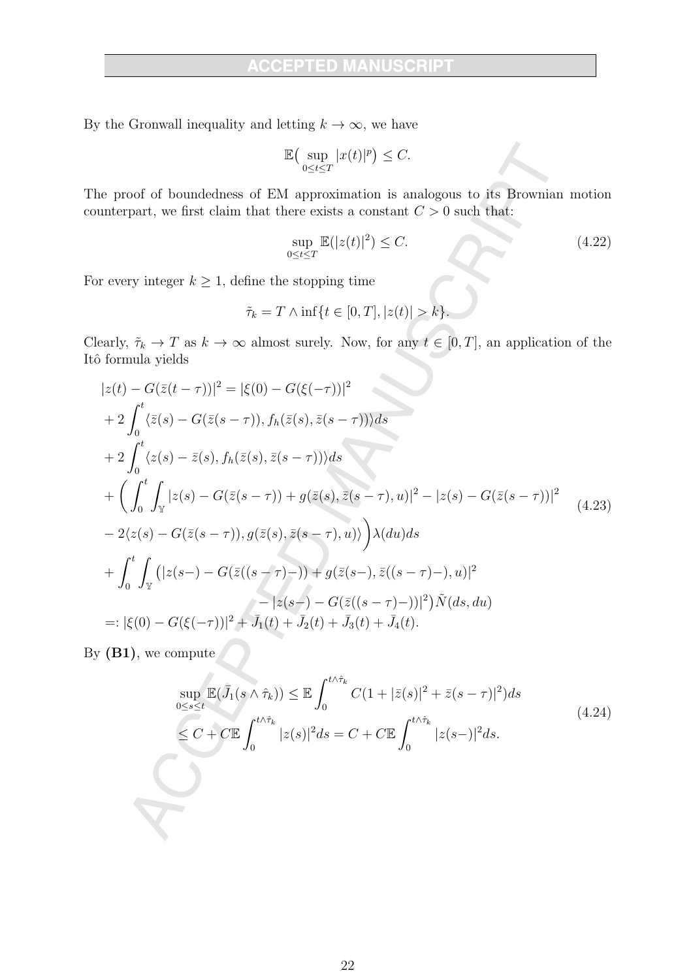By the Gronwall inequality and letting  $k \to \infty$ , we have

$$
\mathbb{E}\big(\sup_{0\leq t\leq T}|x(t)|^p\big)\leq C.
$$

The proof of boundedness of EM approximation is analogous to its Brownian motion counterpart, we first claim that there exists a constant  $C > 0$  such that:

$$
\sup_{0 \le t \le T} \mathbb{E}(|z(t)|^2) \le C. \tag{4.22}
$$

For every integer  $k \geq 1$ , define the stopping time

$$
\tilde{\tau}_k = T \wedge \inf\{t \in [0, T], |z(t)| > k\}.
$$

Clearly,  $\tilde{\tau}_k \to T$  as  $k \to \infty$  almost surely. Now, for any  $t \in [0, T]$ , an application of the Itô formula yields

$$
|z(t) - G(\bar{z}(t-\tau))|^2 = |\xi(0) - G(\xi(-\tau))|^2
$$
  
+2  $\int_0^t \langle \bar{z}(s) - G(\bar{z}(s-\tau)), f_h(\bar{z}(s), \bar{z}(s-\tau)) \rangle ds$   
+2  $\int_0^t \langle z(s) - \bar{z}(s), f_h(\bar{z}(s), \bar{z}(s-\tau)) \rangle ds$   
+ $\left(\int_0^t \int_{\mathbb{Y}} |z(s) - G(\bar{z}(s-\tau)) + g(\bar{z}(s), \bar{z}(s-\tau), u)|^2 - |z(s) - G(\bar{z}(s-\tau))|^2 \right)$   
-2 $\langle z(s) - G(\bar{z}(s-\tau)), g(\bar{z}(s), \bar{z}(s-\tau), u) \rangle \right) \lambda(du) ds$   
+ $\int_0^t \int_{\mathbb{Y}} (|z(s-) - G(\bar{z}((s-\tau)-)) + g(\bar{z}(s-), \bar{z}((s-\tau)-), u)|^2 - |z(s-) - G(\bar{z}((s-\tau)-))|^2) \tilde{N}(ds, du)$   
=:  $|\xi(0) - G(\xi(-\tau))|^2 + \bar{J}_1(t) + \bar{J}_2(t) + \bar{J}_3(t) + \bar{J}_4(t).$  (4.23)

By  $(B1)$ , we compute

$$
\sup_{0\leq s\leq t} \mathbb{E}(\bar{J}_1(s\wedge\hat{\tau}_k)) \leq \mathbb{E} \int_0^{t\wedge\hat{\tau}_k} C(1+|\bar{z}(s)|^2 + \bar{z}(s-\tau)|^2) ds
$$
\n
$$
\leq C + C \mathbb{E} \int_0^{t\wedge\hat{\tau}_k} |z(s)|^2 ds = C + C \mathbb{E} \int_0^{t\wedge\hat{\tau}_k} |z(s-)|^2 ds. \tag{4.24}
$$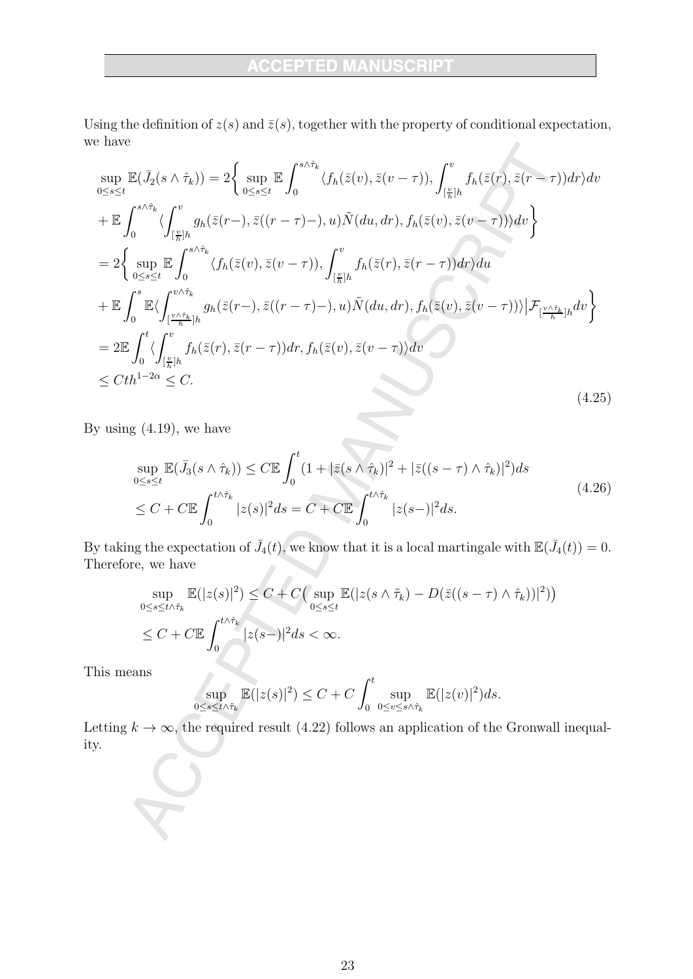# **ACCEPTED MANUSCRIPT**

Using the definition of  $z(s)$  and  $\bar{z}(s)$ , together with the property of conditional expectation, we have

$$
\sup_{0\leq s\leq t} \mathbb{E}(\bar{J}_{2}(s\wedge\hat{\tau}_{k})) = 2\Big\{\sup_{0\leq s\leq t} \mathbb{E}\int_{0}^{s\wedge\hat{\tau}_{k}} \langle f_{h}(\bar{z}(v),\bar{z}(v-\tau)), \int_{\lceil \frac{v}{h}\rceil h}^{v} f_{h}(\bar{z}(r),\bar{z}(r-\tau)) dr \rangle dv \n+ \mathbb{E}\int_{0}^{s\wedge\hat{\tau}_{k}} \langle \int_{\lceil \frac{v}{h}\rceil h}^{v} g_{h}(\bar{z}(r-\tau),\bar{z}((r-\tau)-),u) \tilde{N}(du,dr), f_{h}(\bar{z}(v),\bar{z}(v-\tau)) \rangle dv \Big\}\n= 2\Big\{\sup_{0\leq s\leq t} \mathbb{E}\int_{0}^{s\wedge\hat{\tau}_{k}} \langle f_{h}(\bar{z}(v),\bar{z}(v-\tau)), \int_{\lceil \frac{v}{h}\rceil h}^{v} f_{h}(\bar{z}(r),\bar{z}(r-\tau)) dr \rangle du \n+ \mathbb{E}\int_{0}^{s} \mathbb{E}\langle \int_{\lceil \frac{v\wedge\hat{\tau}_{k}}{h}\rceil h}^{s\wedge\hat{\tau}_{k}} g_{h}(\bar{z}(r-\tau),\bar{z}((r-\tau)-),u) \tilde{N}(du,dr), f_{h}(\bar{z}(v),\bar{z}(v-\tau)) \rangle | \mathcal{F}_{\lceil \frac{v\wedge\hat{\tau}_{k}}{h}\rceil h} dv \Big\}\n= 2 \mathbb{E}\int_{0}^{t} \langle \int_{\lceil \frac{v}{h}\rceil h}^{v} f_{h}(\bar{z}(r),\bar{z}(r-\tau)) dr, f_{h}(\bar{z}(v),\bar{z}(v-\tau)) dv \Big\rangle\n\leq C t h^{1-2\alpha} \leq C.
$$
\n(4.25)

By using  $(4.19)$ , we have

$$
\sup_{0\leq s\leq t} \mathbb{E}(\bar{J}_3(s\wedge\hat{\tau}_k)) \leq C \mathbb{E} \int_0^t (1+|\bar{z}(s\wedge\hat{\tau}_k)|^2 + |\bar{z}((s-\tau)\wedge\hat{\tau}_k)|^2) ds
$$
  
\n
$$
\leq C + C \mathbb{E} \int_0^{t\wedge\hat{\tau}_k} |z(s)|^2 ds = C + C \mathbb{E} \int_0^{t\wedge\hat{\tau}_k} |z(s-)|^2 ds.
$$
\n(4.26)

By taking the expectation of  $\bar{J}_4(t)$ , we know that it is a local martingale with  $\mathbb{E}(\bar{J}_4(t)) = 0$ . Therefore, we have  $\hat{\mathcal{L}}$ 

$$
\sup_{0 \le s \le t \wedge \tilde{\tau}_k} \mathbb{E}(|z(s)|^2) \le C + C \Big( \sup_{0 \le s \le t} \mathbb{E}(|z(s \wedge \tilde{\tau}_k) - D(\bar{z}((s - \tau) \wedge \hat{\tau}_k))|^2) \Big)
$$
  

$$
\le C + C \mathbb{E} \int_0^{t \wedge \hat{\tau}_k} |z(s-)|^2 ds < \infty.
$$

This means

$$
\sup_{0\leq s\leq t\wedge\tilde{\tau}_k} \mathbb{E}(|z(s)|^2) \leq C + C \int_0^t \sup_{0\leq v\leq s\wedge\hat{\tau}_k} \mathbb{E}(|z(v)|^2) ds.
$$

Letting  $k \to \infty$ , the required result (4.22) follows an application of the Gronwall inequality.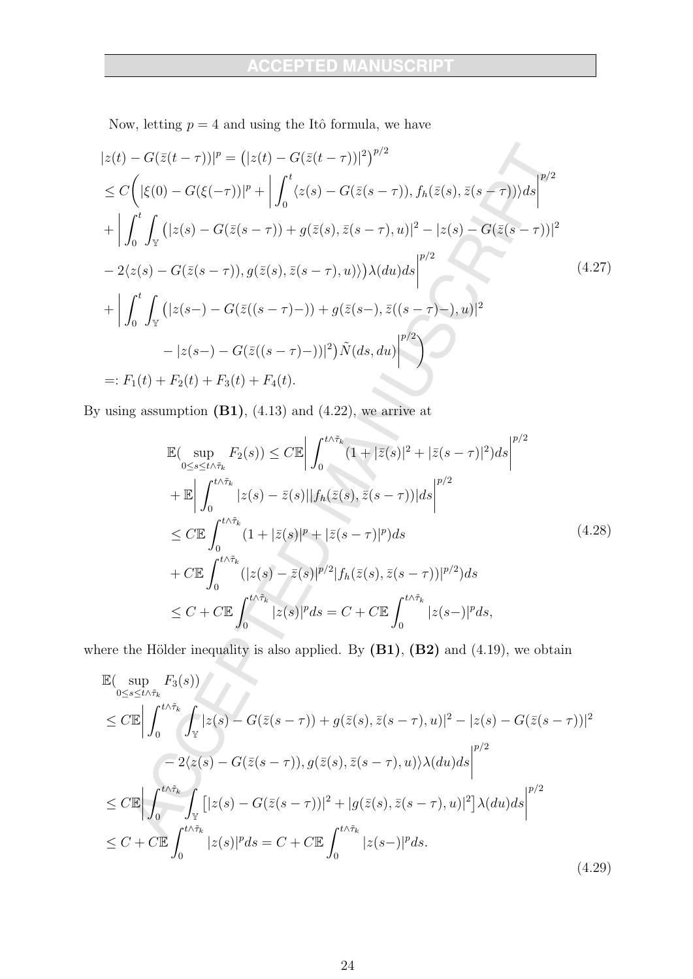A

Now, letting  $p = 4$  and using the Itô formula, we have

$$
|z(t) - G(\bar{z}(t-\tau))|^p = (|z(t) - G(\bar{z}(t-\tau))|^2)^{p/2}
$$
  
\n
$$
\leq C \Big( |\xi(0) - G(\xi(-\tau))|^p + \Big| \int_0^t \langle z(s) - G(\bar{z}(s-\tau)), f_h(\bar{z}(s), \bar{z}(s-\tau)) \rangle ds \Big|^{p/2}
$$
  
\n
$$
+ \Big| \int_0^t \int_{\mathbb{Y}} (|z(s) - G(\bar{z}(s-\tau)) + g(\bar{z}(s), \bar{z}(s-\tau), u)|^2 - |z(s) - G(\bar{z}(s-\tau))|^2
$$
  
\n
$$
- 2\langle z(s) - G(\bar{z}(s-\tau)), g(\bar{z}(s), \bar{z}(s-\tau), u) \rangle \Big) \lambda(du) ds \Big|^{p/2}
$$
  
\n
$$
+ \Big| \int_0^t \int_{\mathbb{Y}} (|z(s-\tau) - G(\bar{z}((s-\tau)-)) + g(\bar{z}(s-\tau), \bar{z}((s-\tau)-), u)|^2
$$
  
\n
$$
- |z(s-\tau) - G(\bar{z}((s-\tau)-))|^2) \tilde{N}(ds, du) \Big|^{p/2} \Big)
$$
  
\n=:  $F_1(t) + F_2(t) + F_3(t) + F_4(t)$ .

By using assumption  $(B1)$ ,  $(4.13)$  and  $(4.22)$ , we arrive at

$$
\mathbb{E}(\sup_{0\leq s\leq t\wedge\tilde{\tau}_{k}} F_{2}(s)) \leq C \mathbb{E} \left| \int_{0}^{t\wedge\tilde{\tau}_{k}} (1+|\bar{z}(s)|^{2} + |\bar{z}(s-\tau)|^{2}) ds \right|^{p/2} \n+ \mathbb{E} \left| \int_{0}^{t\wedge\tilde{\tau}_{k}} |z(s)-\bar{z}(s)| |f_{h}(\bar{z}(s),\bar{z}(s-\tau))| ds \right|^{p/2} \n\leq C \mathbb{E} \int_{0}^{t\wedge\tilde{\tau}_{k}} (1+|\bar{z}(s)|^{p} + |\bar{z}(s-\tau)|^{p}) ds \n+ C \mathbb{E} \int_{0}^{t\wedge\tilde{\tau}_{k}} (|z(s)-\bar{z}(s)|^{p/2} |f_{h}(\bar{z}(s),\bar{z}(s-\tau))|^{p/2}) ds \n\leq C + C \mathbb{E} \int_{0}^{t\wedge\tilde{\tau}_{k}} |z(s)|^{p} ds = C + C \mathbb{E} \int_{0}^{t\wedge\tilde{\tau}_{k}} |z(s-)|^{p} ds,
$$
\n(4.28)

where the Hölder inequality is also applied. By  $(B1)$ ,  $(B2)$  and  $(4.19)$ , we obtain

$$
\mathbb{E}(\sup_{0\leq s\leq t\wedge\tilde{\tau}_{k}}F_{3}(s))\n\leq C\mathbb{E}\left|\int_{0}^{t\wedge\tilde{\tau}_{k}}\int_{\mathbb{Y}}|z(s)-G(\bar{z}(s-\tau))+g(\bar{z}(s),\bar{z}(s-\tau),u)|^{2}-|z(s)-G(\bar{z}(s-\tau))|^{2}\n\right|
$$
\n
$$
-2\langle z(s)-G(\bar{z}(s-\tau)),g(\bar{z}(s),\bar{z}(s-\tau),u)\rangle\lambda(du)ds\right|^{p/2}
$$
\n
$$
\leq C\mathbb{E}\left|\int_{0}^{t\wedge\tilde{\tau}_{k}}\int_{\mathbb{Y}}[|z(s)-G(\bar{z}(s-\tau))|^{2}+|g(\bar{z}(s),\bar{z}(s-\tau),u)|^{2}]\lambda(du)ds\right|^{p/2}
$$
\n
$$
\leq C+C\mathbb{E}\int_{0}^{t\wedge\tilde{\tau}_{k}}|z(s)|^{p}ds = C+C\mathbb{E}\int_{0}^{t\wedge\tilde{\tau}_{k}}|z(s)-|^{p}ds.
$$
\n(4.29)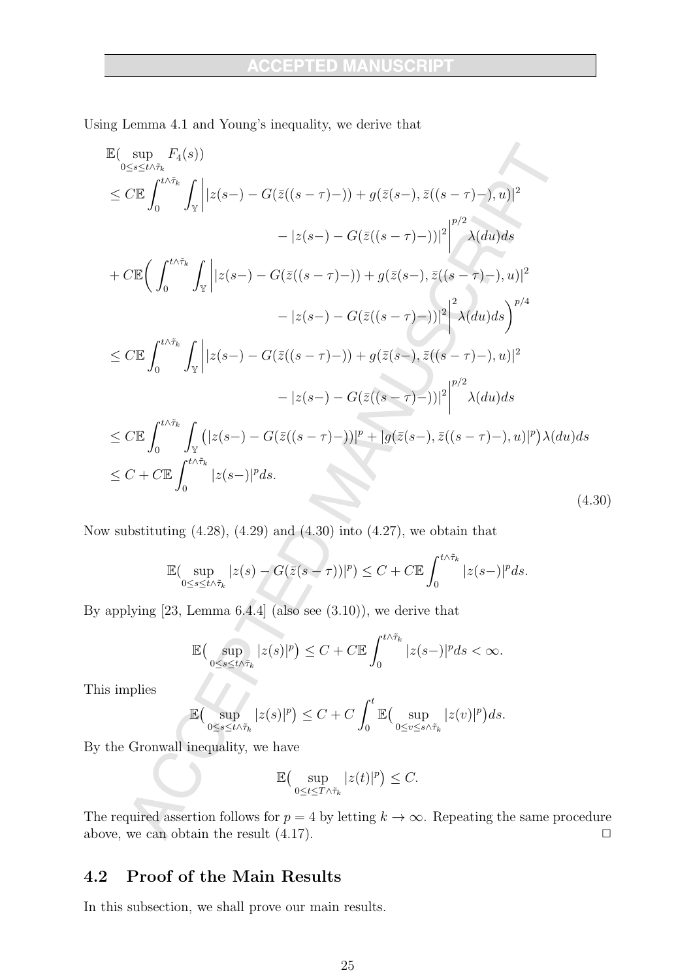Using Lemma 4.1 and Young's inequality, we derive that

$$
\mathbb{E}(\sup_{0\leq s\leq t\wedge\tilde{\tau}_{k}}F_{4}(s))
$$
\n
$$
\leq C\mathbb{E}\int_{0}^{t\wedge\tilde{\tau}_{k}}\int_{\mathbb{Y}}\left||z(s-)-G(\bar{z}((s-\tau)-))+g(\bar{z}(s-),\bar{z}((s-\tau)-),u)|^{2}\right.
$$
\n
$$
+C\mathbb{E}\Big(\int_{0}^{t\wedge\tilde{\tau}_{k}}\int_{\mathbb{Y}}\left||z(s-)-G(\bar{z}((s-\tau)-))|^{2}|\right|^{p/2}\lambda(du)ds
$$
\n
$$
+C\mathbb{E}\Big(\int_{0}^{t\wedge\tilde{\tau}_{k}}\int_{\mathbb{Y}}\left||z(s-)-G(\bar{z}((s-\tau)-))|+g(\bar{z}(s-),\bar{z}((s-\tau)-),u)|^{2}\right.
$$
\n
$$
-|z(s-)-G(\bar{z}((s-\tau)-))|^{2}\Big)^{2}\lambda(du)ds\Big)^{p/4}
$$
\n
$$
\leq C\mathbb{E}\int_{0}^{t\wedge\tilde{\tau}_{k}}\int_{\mathbb{Y}}\left||z(s-)-G(\bar{z}((s-\tau)-))|+g(\bar{z}(s-),\bar{z}((s-\tau)-),u)|^{2}\right.
$$
\n
$$
-|z(s-)-G(\bar{z}((s-\tau)-))|^{2}\Big|^{p/2}\lambda(du)ds
$$
\n
$$
\leq C\mathbb{E}\int_{0}^{t\wedge\tilde{\tau}_{k}}\int_{\mathbb{Y}}\left(|z(s-)-G(\bar{z}((s-\tau)-))|^{p}+|g(\bar{z}(s-),\bar{z}((s-\tau)-),u)|^{p})\lambda(du)ds\right.
$$
\n
$$
\leq C+C\mathbb{E}\int_{0}^{t\wedge\tilde{\tau}_{k}}|z(s-)|^{p}ds.
$$
\n(4.30)

Now substituting  $(4.28)$ ,  $(4.29)$  and  $(4.30)$  into  $(4.27)$ , we obtain that

$$
\mathbb{E}(\sup_{0\leq s\leq t\wedge\tilde{\tau}_k}|z(s)-G(\bar{z}(s-\tau))|^p)\leq C+C\mathbb{E}\int_0^{t\wedge\tau_k}|z(s-)|^pds.
$$

By applying  $[23, \text{ Lemma } 6.4.4]$  (also see  $(3.10)$ ), we derive that

$$
\mathbb{E}\big(\sup_{0\leq s\leq t\wedge\tilde{\tau}_k}|z(s)|^p\big)\leq C+C\mathbb{E}\int_0^{t\wedge\tilde{\tau}_k}|z(s-)|^pds<\infty.
$$

This implies

$$
\mathbb{E}\big(\sup_{0\leq s\leq t\wedge\tilde{\tau}_k}|z(s)|^p\big)\leq C+C\int_0^t\mathbb{E}\big(\sup_{0\leq v\leq s\wedge\tilde{\tau}_k}|z(v)|^p\big)ds
$$

By the Gronwall inequality, we have

$$
\mathbb{E}\big(\sup_{0\leq t\leq T\wedge\tilde{\tau}_k}|z(t)|^p\big)\leq C.
$$

The required assertion follows for  $p = 4$  by letting  $k \to \infty$ . Repeating the same procedure above, we can obtain the result  $(4.17)$ .  $\Box$ 

#### Proof of the Main Results 4.2

In this subsection, we shall prove our main results.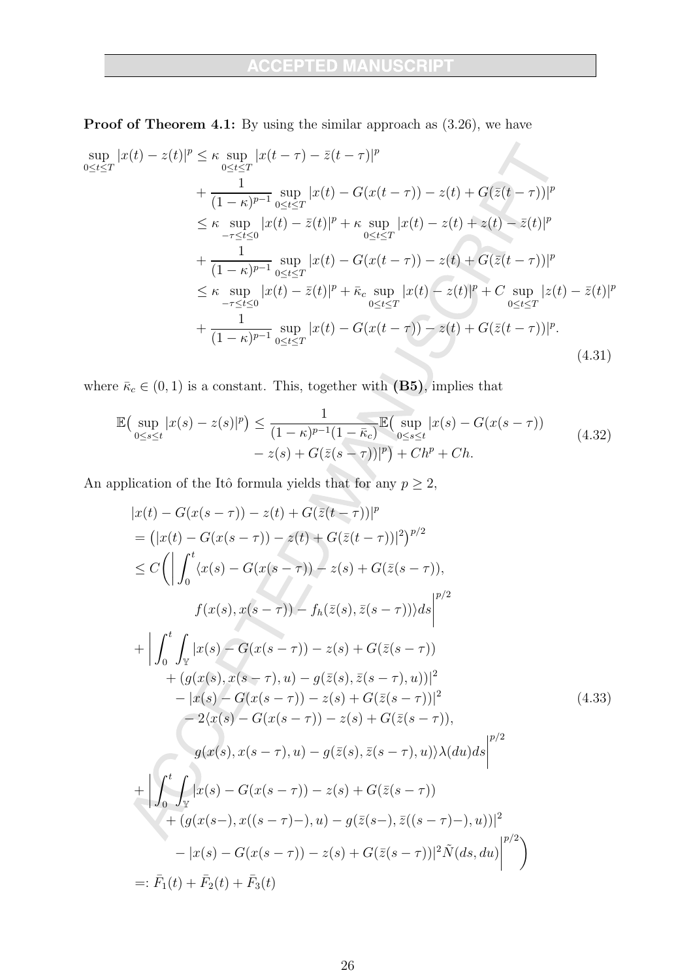$\overline{\phantom{a}}$ 

**Proof of Theorem 4.1:** By using the similar approach as  $(3.26)$ , we have

$$
\sup_{0 \le t \le T} |x(t) - z(t)|^p \le \kappa \sup_{0 \le t \le T} |x(t - \tau) - \bar{z}(t - \tau)|^p
$$
  
+ 
$$
\frac{1}{(1 - \kappa)^{p-1}} \sup_{0 \le t \le T} |x(t) - G(x(t - \tau)) - z(t) + G(\bar{z}(t - \tau))|^p
$$
  

$$
\le \kappa \sup_{-\tau \le t \le 0} |x(t) - \bar{z}(t)|^p + \kappa \sup_{0 \le t \le T} |x(t) - z(t) + z(t) - \bar{z}(t)|^p
$$
  
+ 
$$
\frac{1}{(1 - \kappa)^{p-1}} \sup_{0 \le t \le T} |x(t) - G(x(t - \tau)) - z(t) + G(\bar{z}(t - \tau))|^p
$$
  

$$
\le \kappa \sup_{-\tau \le t \le 0} |x(t) - \bar{z}(t)|^p + \bar{\kappa}_c \sup_{0 \le t \le T} |x(t) - z(t)|^p + C \sup_{0 \le t \le T} |z(t) - \bar{z}(t)|^p
$$
  
+ 
$$
\frac{1}{(1 - \kappa)^{p-1}} \sup_{0 \le t \le T} |x(t) - G(x(t - \tau)) - z(t) + G(\bar{z}(t - \tau))|^p.
$$
(4.31)

where  $\bar{\kappa}_c \in (0,1)$  is a constant. This, together with  $(B5)$ , implies that

$$
\mathbb{E}\left(\sup_{0\leq s\leq t}|x(s)-z(s)|^p\right) \leq \frac{1}{(1-\kappa)^{p-1}(1-\bar{\kappa}_c)}\mathbb{E}\left(\sup_{0\leq s\leq t}|x(s)-G(x(s-\tau)) - z(s)+G(\bar{z}(s-\tau))|^p\right) + Ch^p + Ch.\tag{4.32}
$$

An application of the Itô formula yields that for any  $p\geq 2,$ 

$$
|x(t) - G(x(s - \tau)) - z(t) + G(\bar{z}(t - \tau))|^p
$$
  
\n
$$
= (|x(t) - G(x(s - \tau)) - z(t) + G(\bar{z}(t - \tau))|^2)^{p/2}
$$
  
\n
$$
\leq C \left( \left| \int_0^t \langle x(s) - G(x(s - \tau)) - z(s) + G(\bar{z}(s - \tau)) \right| ds \right|^{p/2}
$$
  
\n
$$
f(x(s), x(s - \tau)) - f_h(\bar{z}(s), \bar{z}(s - \tau)) ds \right|^{p/2}
$$
  
\n
$$
+ \left| \int_0^t \int_{\bar{Y}} |x(s) - G(x(s - \tau)) - z(s) + G(\bar{z}(s - \tau))
$$
  
\n
$$
+ (g(x(s), x(s - \tau), u) - g(\bar{z}(s), \bar{z}(s - \tau), u))|^2
$$
  
\n
$$
- |x(s) - G(x(s - \tau)) - z(s) + G(\bar{z}(s - \tau))|^{2}
$$
  
\n
$$
2\langle x(s) - G(x(s - \tau)) - z(s) + G(\bar{z}(s - \tau))
$$
  
\n
$$
g(x(s), x(s - \tau), u) - g(\bar{z}(s), \bar{z}(s - \tau), u) \rangle \lambda(du) ds \right|^{p/2}
$$
  
\n
$$
+ \left| \int_0^t \int_{\bar{Y}} |x(s) - G(x(s - \tau)) - z(s) + G(\bar{z}(s - \tau))
$$
  
\n
$$
+ (g(x(s -), x((s - \tau) -), u) - g(\bar{z}(s -), \bar{z}((s - \tau) -), u))|^{2}
$$
  
\n
$$
- |x(s) - G(x(s - \tau)) - z(s) + G(\bar{z}(s - \tau))|^{2} \tilde{N}(ds, du) \right|^{p/2}
$$
  
\n
$$
=: \bar{F}_1(t) + \bar{F}_2(t) + \bar{F}_3(t)
$$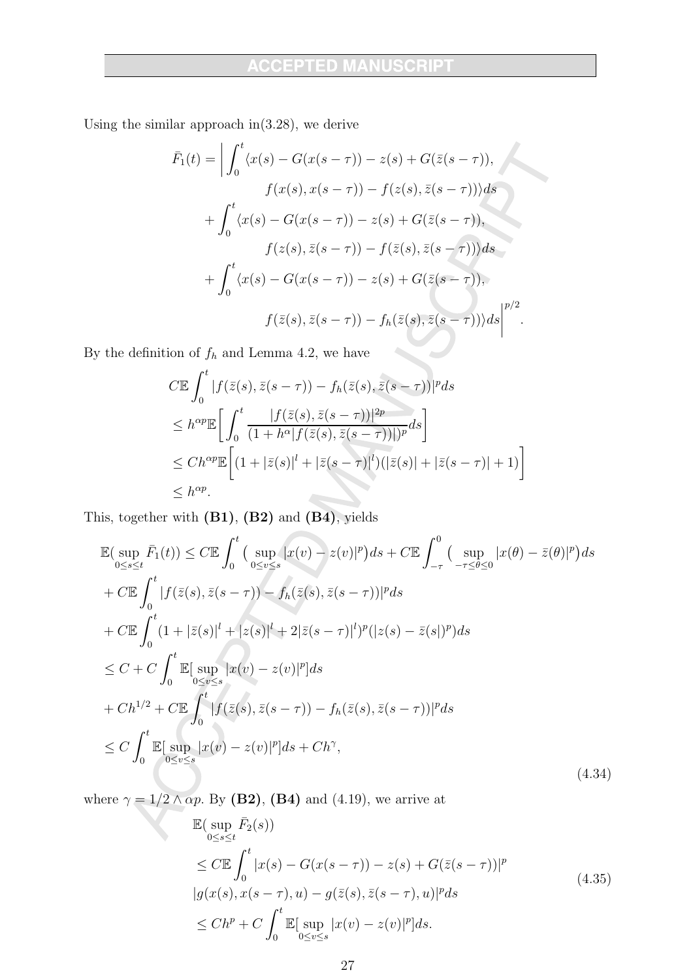Using the similar approach in  $(3.28)$ , we derive

$$
\bar{F}_1(t) = \left| \int_0^t \langle x(s) - G(x(s-\tau)) - z(s) + G(\bar{z}(s-\tau)), \right.
$$
\n
$$
f(x(s), x(s-\tau)) - f(z(s), \bar{z}(s-\tau)) \rangle ds
$$
\n
$$
+ \int_0^t \langle x(s) - G(x(s-\tau)) - z(s) + G(\bar{z}(s-\tau)), \right.
$$
\n
$$
f(z(s), \bar{z}(s-\tau)) - f(\bar{z}(s), \bar{z}(s-\tau)) \rangle ds
$$
\n
$$
+ \int_0^t \langle x(s) - G(x(s-\tau)) - z(s) + G(\bar{z}(s-\tau)), \right.
$$
\n
$$
f(\bar{z}(s), \bar{z}(s-\tau)) - f_h(\bar{z}(s), \bar{z}(s-\tau)) \rangle ds \Big|^{p/2}.
$$
\non of  $f_h$  and Lemma 4.2, we have

By the definition of  $f_h$  and Lemma 4.2, we have

$$
C\mathbb{E} \int_0^t |f(\bar{z}(s), \bar{z}(s-\tau)) - f_h(\bar{z}(s), \bar{z}(s-\tau))|^p ds
$$
  
\n
$$
\leq h^{\alpha p} \mathbb{E} \bigg[ \int_0^t \frac{|f(\bar{z}(s), \bar{z}(s-\tau))|^{2p}}{(1+h^{\alpha}|f(\bar{z}(s), \bar{z}(s-\tau))|^{p}} ds \bigg]
$$
  
\n
$$
\leq Ch^{\alpha p} \mathbb{E} \bigg[ (1+|\bar{z}(s)|^{l} + |\bar{z}(s-\tau)|^{l}) (|\bar{z}(s)| + |\bar{z}(s-\tau)| + 1) \bigg]
$$
  
\n
$$
\leq h^{\alpha p}.
$$

This, together with (B1), (B2) and (B4), yields

$$
\mathbb{E}(\sup_{0\leq s\leq t}\bar{F}_1(t)) \leq C \mathbb{E} \int_0^t \left(\sup_{0\leq v\leq s}|x(v)-z(v)|^p\right)ds + C \mathbb{E} \int_{-\tau}^0 \left(\sup_{-\tau\leq \theta\leq 0}|x(\theta)-\bar{z}(\theta)|^p\right)ds \n+ C \mathbb{E} \int_0^t |f(\bar{z}(s), \bar{z}(s-\tau)) - f_h(\bar{z}(s), \bar{z}(s-\tau))|^p ds \n+ C \mathbb{E} \int_0^t (1+|\bar{z}(s)|^l + |z(s)|^l + 2|\bar{z}(s-\tau)|^l)^p (|z(s)-\bar{z}(s)|^p) ds \n\leq C + C \int_0^t \mathbb{E}[\sup_{0\leq v\leq s}|x(v)-z(v)|^p] ds \n+ Ch^{1/2} + C \mathbb{E} \int_0^t |f(\bar{z}(s), \bar{z}(s-\tau)) - f_h(\bar{z}(s), \bar{z}(s-\tau))|^p ds \n\leq C \int_0^t \mathbb{E}[\sup_{0\leq v\leq s}|x(v)-z(v)|^p] ds + Ch^{\gamma}, \tag{4.34}
$$

where  $\gamma = 1/2 \wedge \alpha p$ . By (B2), (B4) and (4.19), we arrive at

$$
\mathbb{E}(\sup_{0\leq s\leq t} \bar{F}_2(s))
$$
\n
$$
\leq C \mathbb{E} \int_0^t |x(s) - G(x(s-\tau)) - z(s) + G(\bar{z}(s-\tau))|^p
$$
\n
$$
|g(x(s), x(s-\tau), u) - g(\bar{z}(s), \bar{z}(s-\tau), u)|^p ds
$$
\n
$$
\leq Ch^p + C \int_0^t \mathbb{E}[\sup_{0\leq v\leq s} |x(v) - z(v)|^p] ds.
$$
\n(4.35)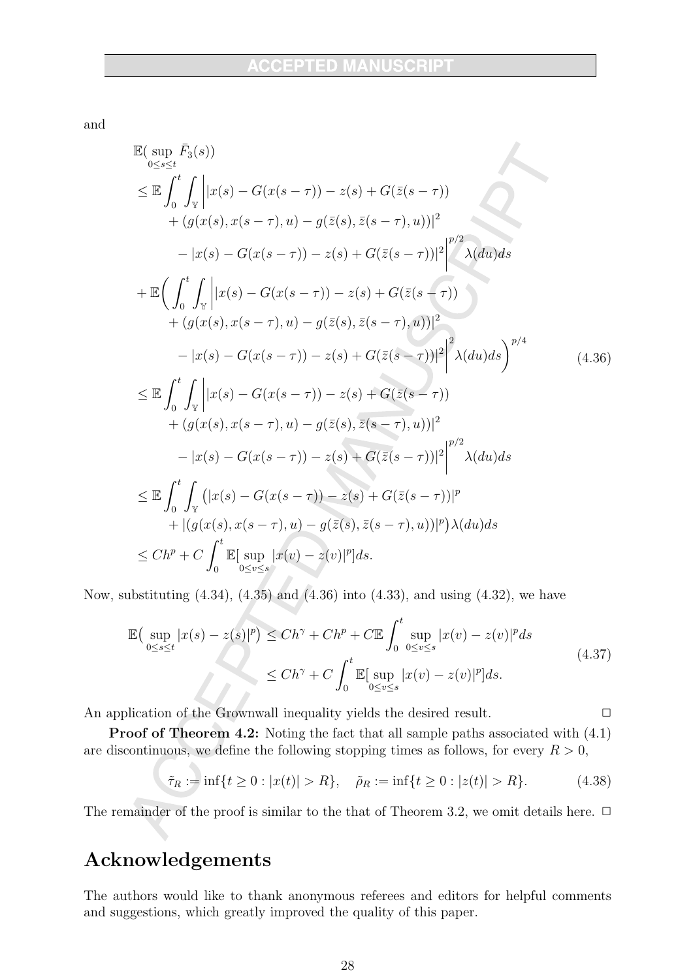and

$$
\mathbb{E}(\sup_{0\leq s\leq t} \bar{F}_3(s)) \n\leq \mathbb{E} \int_0^t \int_{\mathbb{Y}} |x(s) - G(x(s-\tau)) - z(s) + G(\bar{z}(s-\tau)) \n+ (g(x(s), x(s-\tau), u) - g(\bar{z}(s), \bar{z}(s-\tau), u))|^2 \n- |x(s) - G(x(s-\tau)) - z(s) + G(\bar{z}(s-\tau))|^2 \bigg|^{\nu/2} \lambda(du) ds \n+ \mathbb{E} \Biggl( \int_0^t \int_{\mathbb{Y}} |x(s) - G(x(s-\tau)) - z(s) + G(\bar{z}(s-\tau)) \n+ (g(x(s), x(s-\tau), u) - g(\bar{z}(s), \bar{z}(s-\tau), u))|^2 \n- |x(s) - G(x(s-\tau)) - z(s) + G(\bar{z}(s-\tau))|^2 \bigg|^2 \lambda(du) ds \Biggr)^{\nu/4} \n\leq \mathbb{E} \int_0^t \int_{\mathbb{Y}} |x(s) - G(x(s-\tau)) - z(s) + G(\bar{z}(s-\tau)) \n+ (g(x(s), x(s-\tau), u) - g(\bar{z}(s), \bar{z}(s-\tau), u))|^2 \n- |x(s) - G(x(s-\tau)) - z(s) + G(\bar{z}(s-\tau))|^2 \bigg|^{\nu/2} \lambda(du) ds \n\leq \mathbb{E} \int_0^t \int_{\mathbb{Y}} (|x(s) - G(x(s-\tau)) - z(s) + G(\bar{z}(s-\tau))|^p \n+ |(g(x(s), x(s-\tau), u) - g(\bar{z}(s), \bar{z}(s-\tau), u))|^p) \lambda(du) ds \n\leq Ch^p + C \int_0^t \mathbb{E}[\sup_{0\leq s\leq s} |x(v) - z(v)|^p] ds.
$$

Now, substituting  $(4.34)$ ,  $(4.35)$  and  $(4.36)$  into  $(4.33)$ , and using  $(4.32)$ , we have

$$
\mathbb{E}\left(\sup_{0\leq s\leq t}|x(s)-z(s)|^p\right) \leq Ch^\gamma + Ch^p + C \mathbb{E}\int_0^t \sup_{0\leq v\leq s}|x(v)-z(v)|^p ds
$$
\n
$$
\leq Ch^\gamma + C \int_0^t \mathbb{E}[\sup_{0\leq v\leq s}|x(v)-z(v)|^p]ds.
$$
\n(4.37)

An application of the Grownwall inequality yields the desired result.

**Proof of Theorem 4.2:** Noting the fact that all sample paths associated with  $(4.1)$ are discontinuous, we define the following stopping times as follows, for every  $R > 0$ ,

$$
\tilde{\tau}_R := \inf\{t \ge 0 : |x(t)| > R\}, \quad \tilde{\rho}_R := \inf\{t \ge 0 : |z(t)| > R\}.
$$
 (4.38)

 $\Box$ 

The remainder of the proof is similar to the that of Theorem 3.2, we omit details here.  $\Box$ 

# Acknowledgements

The authors would like to thank anonymous referees and editors for helpful comments and suggestions, which greatly improved the quality of this paper.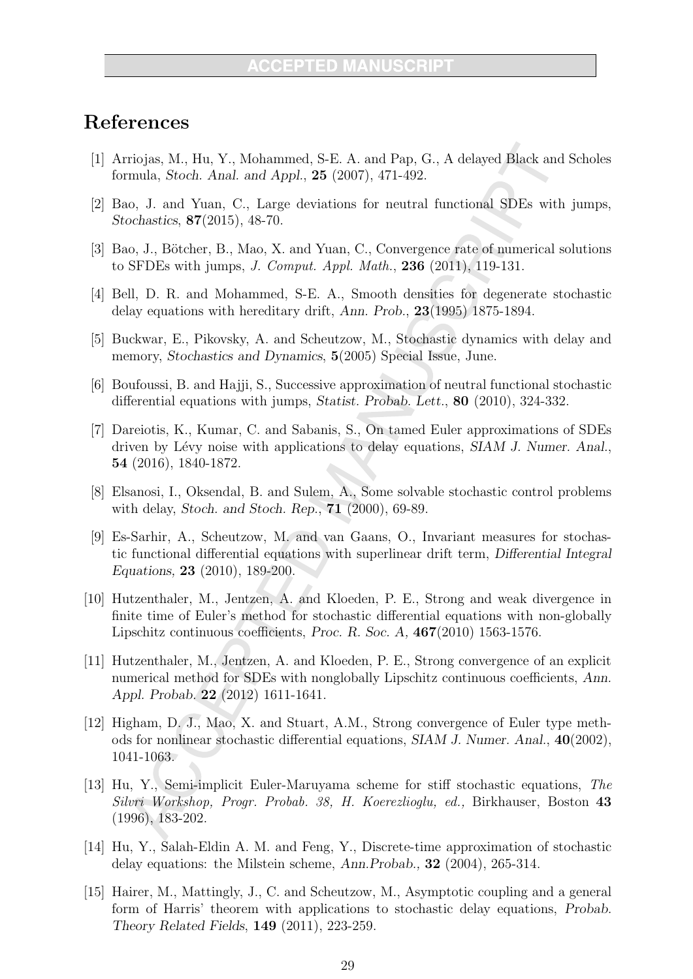# References

- [1] Arriojas, M., Hu, Y., Mohammed, S-E. A. and Pap, G., A delayed Black and Scholes formula, *Stoch. Anal. and Appl.*, **25** (2007), 471-492.
- [2] Bao, J. and Yuan, C., Large deviations for neutral functional SDEs with jumps, Stochastics, 87(2015), 48-70.
- [3] Bao, J., Bötcher, B., Mao, X. and Yuan, C., Convergence rate of numerical solutions to SFDEs with jumps, J. Comput. Appl. Math., 236 (2011), 119-131.
- [4] Bell, D. R. and Mohammed, S-E. A., Smooth densities for degenerate stochastic delay equations with hereditary drift, Ann. Prob.,  $23(1995)$  1875-1894.
- [5] Buckwar, E., Pikovsky, A. and Scheutzow, M., Stochastic dynamics with delay and memory, Stochastics and Dynamics, 5(2005) Special Issue, June.
- [6] Boufoussi, B. and Hajji, S., Successive approximation of neutral functional stochastic differential equations with jumps, Statist. Probab. Lett., 80 (2010), 324-332.
- [7] Dareiotis, K., Kumar, C. and Sabanis, S., On tamed Euler approximations of SDEs driven by Lévy noise with applications to delay equations, SIAM J. Numer. Anal., 54 (2016), 1840-1872.
- [8] Elsanosi, I., Oksendal, B. and Sulem, A., Some solvable stochastic control problems with delay, Stoch. and Stoch. Rep.,  $71$  (2000), 69-89.
- [9] Es-Sarhir, A., Scheutzow, M. and van Gaans, O., Invariant measures for stochastic functional differential equations with superlinear drift term, Differential Integral Equations,  $23$  (2010), 189-200.
- [10] Hutzenthaler, M., Jentzen, A. and Kloeden, P. E., Strong and weak divergence in finite time of Euler's method for stochastic differential equations with non-globally Lipschitz continuous coefficients, Proc. R. Soc. A,  $467(2010)$  1563-1576.
- [11] Hutzenthaler, M., Jentzen, A. and Kloeden, P. E., Strong convergence of an explicit numerical method for SDEs with nonglobally Lipschitz continuous coefficients, Ann. Appl. Probab. 22 (2012) 1611-1641.
- [12] Higham, D. J., Mao, X. and Stuart, A.M., Strong convergence of Euler type methods for nonlinear stochastic differential equations,  $SIAM J$ . Numer. Anal.,  $40(2002)$ , 1041-1063.
- [13] Hu, Y., Semi-implicit Euler-Maruyama scheme for stiff stochastic equations, The Silvri Workshop, Progr. Probab. 38, H. Koerezlioglu, ed., Birkhauser, Boston 43  $(1996), 183-202.$
- [14] Hu, Y., Salah-Eldin A. M. and Feng, Y., Discrete-time approximation of stochastic delay equations: the Milstein scheme, Ann. Probab., 32 (2004), 265-314.
- [15] Hairer, M., Mattingly, J., C. and Scheutzow, M., Asymptotic coupling and a general form of Harris' theorem with applications to stochastic delay equations, Probab. Theory Related Fields, 149 (2011), 223-259.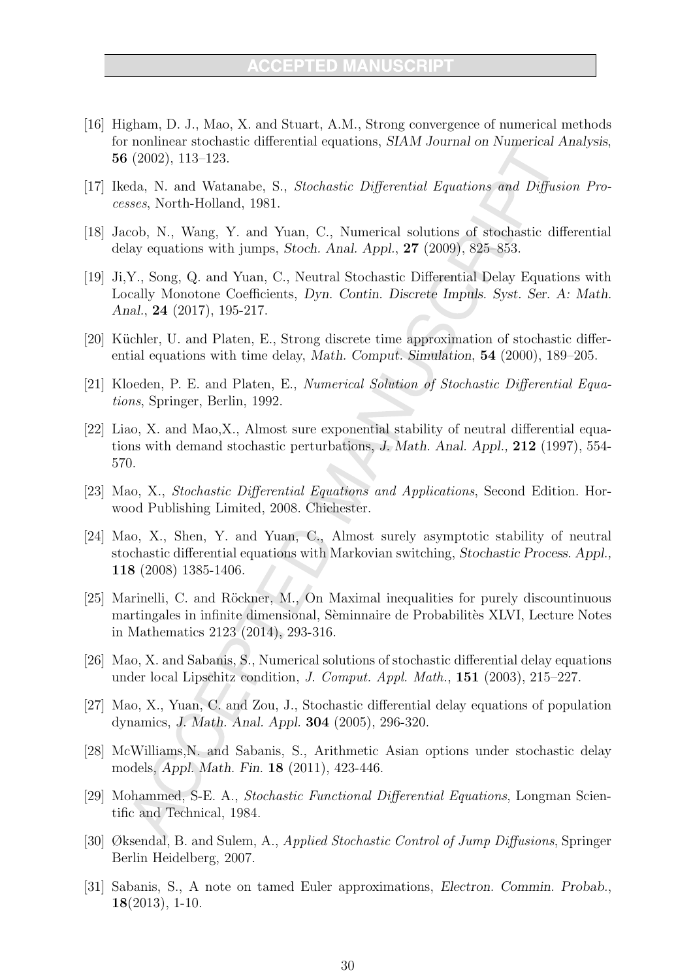- [16] Higham, D. J., Mao, X. and Stuart, A.M., Strong convergence of numerical methods for nonlinear stochastic differential equations, SIAM Journal on Numerical Analysis, 56  $(2002)$ , 113-123.
- [17] Ikeda, N. and Watanabe, S., Stochastic Differential Equations and Diffusion Processes, North-Holland, 1981.
- [18] Jacob, N., Wang, Y. and Yuan, C., Numerical solutions of stochastic differential delay equations with jumps, Stoch. Anal. Appl.,  $27$  (2009), 825–853.
- [19] Ji.Y., Song, Q. and Yuan, C., Neutral Stochastic Differential Delay Equations with Locally Monotone Coefficients, Dyn. Contin. Discrete Impuls. Syst. Ser. A: Math. Anal., 24 (2017), 195-217.
- [20] Küchler, U. and Platen, E., Strong discrete time approximation of stochastic differential equations with time delay, Math. Comput. Simulation, 54 (2000), 189–205.
- [21] Kloeden, P. E. and Platen, E., Numerical Solution of Stochastic Differential Equations, Springer, Berlin, 1992.
- [22] Liao, X. and Mao, X., Almost sure exponential stability of neutral differential equations with demand stochastic perturbations, J. Math. Anal. Appl., 212 (1997), 554-570.
- [23] Mao, X., Stochastic Differential Equations and Applications, Second Edition. Horwood Publishing Limited, 2008. Chichester.
- $|24|$  Mao, X., Shen, Y. and Yuan, C., Almost surely asymptotic stability of neutral stochastic differential equations with Markovian switching, Stochastic Process. Appl. 118 (2008) 1385-1406.
- [25] Marinelli, C. and Röckner, M., On Maximal inequalities for purely discountinuous martingales in infinite dimensional, Sèminnaire de Probabilitès XLVI, Lecture Notes in Mathematics 2123 (2014), 293-316.
- [26] Mao, X. and Sabanis, S., Numerical solutions of stochastic differential delay equations under local Lipschitz condition, J. Comput. Appl. Math., 151 (2003), 215–227.
- [27] Mao, X., Yuan, C. and Zou, J., Stochastic differential delay equations of population dynamics, *J. Math. Anal. Appl.* **304** (2005), 296-320.
- [28] McWilliams, N. and Sabanis, S., Arithmetic Asian options under stochastic delay models, Appl. Math. Fin. 18 (2011), 423-446.
- [29] Mohammed, S-E. A., Stochastic Functional Differential Equations, Longman Scientific and Technical, 1984.
- [30] Øksendal, B. and Sulem, A., Applied Stochastic Control of Jump Diffusions, Springer Berlin Heidelberg, 2007.
- [31] Sabanis, S., A note on tamed Euler approximations, Electron. Commin. Probab.,  $18(2013), 1-10.$